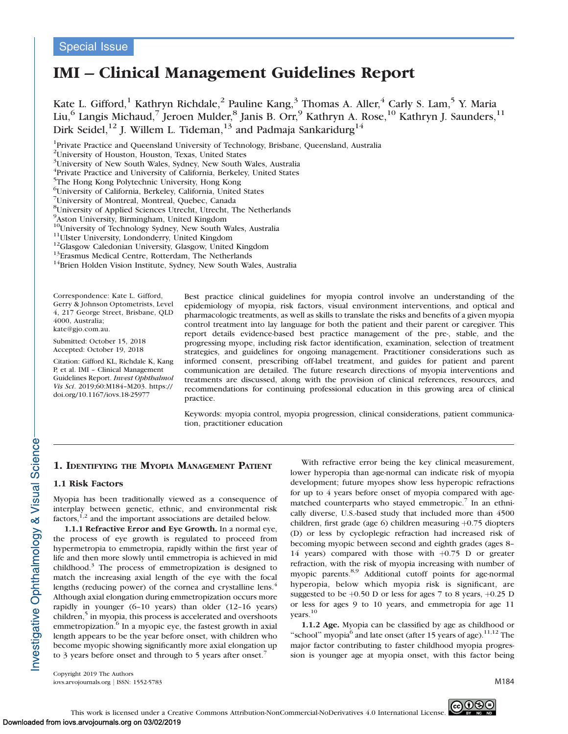# Special Issue

# IMI – Clinical Management Guidelines Report

Kate L. Gifford,<sup>1</sup> Kathryn Richdale,<sup>2</sup> Pauline Kang,<sup>3</sup> Thomas A. Aller,<sup>4</sup> Carly S. Lam,<sup>5</sup> Y. Maria Liu,<sup>6</sup> Langis Michaud,<sup>7</sup> Jeroen Mulder,<sup>8</sup> Janis B. Orr,<sup>9</sup> Kathryn A. Rose,<sup>10</sup> Kathryn J. Saunders,<sup>11</sup> Dirk Seidel,<sup>12</sup> J. Willem L. Tideman,<sup>13</sup> and Padmaja Sankaridurg<sup>14</sup>

<sup>1</sup>Private Practice and Queensland University of Technology, Brisbane, Queensland, Australia

<sup>10</sup>University of Technology Sydney, New South Wales, Australia<sup>11</sup>Ulster University, Londonderry, United Kingdom<sup>12</sup>Glasgow Caledonian University, Glasgow, United Kingdom<sup>13</sup>Erasmus Medical Centre, Rotterdam, The Netherl

Correspondence: Kate L. Gifford, Gerry & Johnson Optometrists, Level 4, 217 George Street, Brisbane, QLD 4000, Australia; kate@gjo.com.au.

Submitted: October 15, 2018 Accepted: October 19, 2018

Citation: Gifford KL, Richdale K, Kang P, et al. IMI – Clinical Management Guidelines Report. Invest Ophthalmol Vis Sci. 2019;60:M184–M203. https:// doi.org/10.1167/iovs.18-25977

Best practice clinical guidelines for myopia control involve an understanding of the epidemiology of myopia, risk factors, visual environment interventions, and optical and pharmacologic treatments, as well as skills to translate the risks and benefits of a given myopia control treatment into lay language for both the patient and their parent or caregiver. This report details evidence-based best practice management of the pre-, stable, and the progressing myope, including risk factor identification, examination, selection of treatment strategies, and guidelines for ongoing management. Practitioner considerations such as informed consent, prescribing off-label treatment, and guides for patient and parent communication are detailed. The future research directions of myopia interventions and treatments are discussed, along with the provision of clinical references, resources, and recommendations for continuing professional education in this growing area of clinical practice.

Keywords: myopia control, myopia progression, clinical considerations, patient communication, practitioner education

# 1. IDENTIFYING THE MYOPIA MANAGEMENT PATIENT

#### 1.1 Risk Factors

Myopia has been traditionally viewed as a consequence of interplay between genetic, ethnic, and environmental risk factors,  $^{1,2}$  and the important associations are detailed below.

1.1.1 Refractive Error and Eye Growth. In a normal eye, the process of eye growth is regulated to proceed from hypermetropia to emmetropia, rapidly within the first year of life and then more slowly until emmetropia is achieved in mid childhood.<sup>3</sup> The process of emmetropization is designed to match the increasing axial length of the eye with the focal lengths (reducing power) of the cornea and crystalline lens.<sup>4</sup> Although axial elongation during emmetropization occurs more rapidly in younger (6–10 years) than older (12–16 years)  $children<sub>1</sub><sup>5</sup>$  in myopia, this process is accelerated and overshoots emmetropization.<sup>6</sup> In a myopic eye, the fastest growth in axial length appears to be the year before onset, with children who become myopic showing significantly more axial elongation up to 3 years before onset and through to 5 years after onset.<sup>7</sup>

With refractive error being the key clinical measurement, lower hyperopia than age-normal can indicate risk of myopia development; future myopes show less hyperopic refractions for up to 4 years before onset of myopia compared with agematched counterparts who stayed emmetropic.<sup>7</sup> In an ethnically diverse, U.S.-based study that included more than 4500 children, first grade (age 6) children measuring  $+0.75$  diopters (D) or less by cycloplegic refraction had increased risk of becoming myopic between second and eighth grades (ages 8– 14 years) compared with those with  $+0.75$  D or greater refraction, with the risk of myopia increasing with number of myopic parents.<sup>8,9</sup> Additional cutoff points for age-normal hyperopia, below which myopia risk is significant, are suggested to be  $+0.50$  D or less for ages 7 to 8 years,  $+0.25$  D or less for ages 9 to 10 years, and emmetropia for age 11 years.<sup>10</sup>

1.1.2 Age. Myopia can be classified by age as childhood or "school" myopia<sup>6</sup> and late onset (after 15 years of age).<sup>11,12</sup> The major factor contributing to faster childhood myopia progression is younger age at myopia onset, with this factor being

Copyright 2019 The Authors iovs.arvojournals.org j ISSN: 1552-5783 M184



<sup>2</sup> University of Houston, Houston, Texas, United States

<sup>&</sup>lt;sup>3</sup>University of New South Wales, Sydney, New South Wales, Australia

<sup>4</sup> Private Practice and University of California, Berkeley, United States

<sup>5</sup> The Hong Kong Polytechnic University, Hong Kong

<sup>6</sup> University of California, Berkeley, California, United States

<sup>7</sup> University of Montreal, Montreal, Quebec, Canada

<sup>8</sup> University of Applied Sciences Utrecht, Utrecht, The Netherlands

<sup>&</sup>lt;sup>9</sup> Aston University, Birmingham, United Kingdom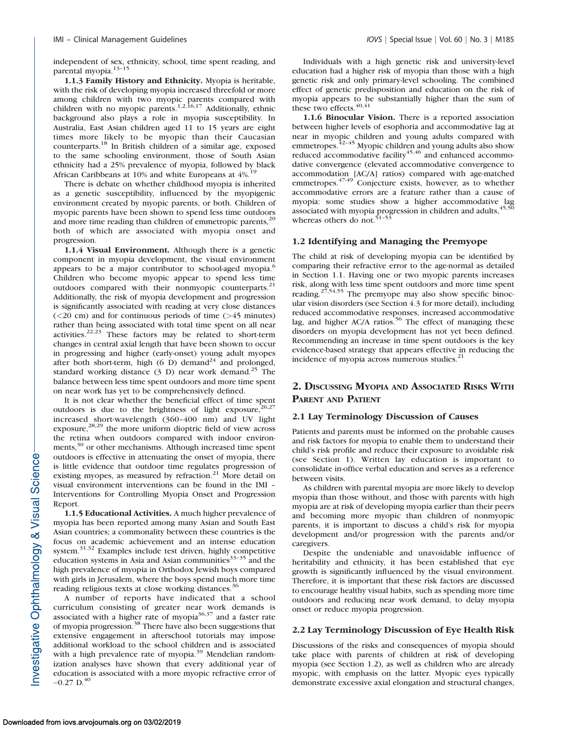independent of sex, ethnicity, school, time spent reading, and parental myopia.<sup>13-15</sup>

1.1.3 Family History and Ethnicity. Myopia is heritable, with the risk of developing myopia increased threefold or more among children with two myopic parents compared with children with no myopic parents.<sup>1,2,16,17</sup> Additionally, ethnic background also plays a role in myopia susceptibility. In Australia, East Asian children aged 11 to 15 years are eight times more likely to be myopic than their Caucasian counterparts.<sup>18</sup> In British children of a similar age, exposed to the same schooling environment, those of South Asian ethnicity had a 25% prevalence of myopia, followed by black African Caribbeans at 10% and white Europeans at  $4\%$ .<sup>19</sup>

There is debate on whether childhood myopia is inherited as a genetic susceptibility, influenced by the myopigenic environment created by myopic parents, or both. Children of myopic parents have been shown to spend less time outdoors and more time reading than children of emmetropic parents,<sup>20</sup> both of which are associated with myopia onset and progression.

1.1.4 Visual Environment. Although there is a genetic component in myopia development, the visual environment appears to be a major contributor to school-aged myopia.<sup>6</sup> Children who become myopic appear to spend less time outdoors compared with their nonmyopic counterparts.<sup>21</sup> Additionally, the risk of myopia development and progression is significantly associated with reading at very close distances  $(<20$  cm) and for continuous periods of time  $(>\!45$  minutes) rather than being associated with total time spent on all near activities.<sup>22,23</sup> These factors may be related to short-term changes in central axial length that have been shown to occur in progressing and higher (early-onset) young adult myopes after both short-term, high  $(6 \text{ D})$  demand<sup>24</sup> and prolonged, standard working distance  $(3, D)$  near work demand.<sup>25</sup> The balance between less time spent outdoors and more time spent on near work has yet to be comprehensively defined.

It is not clear whether the beneficial effect of time spent outdoors is due to the brightness of light exposure,  $26,27$ increased short-wavelength (360–400 nm) and UV light  $\exp$ osure,<sup>28,29</sup> the more uniform dioptric field of view across the retina when outdoors compared with indoor environments,<sup>30</sup> or other mechanisms. Although increased time spent outdoors is effective in attenuating the onset of myopia, there is little evidence that outdoor time regulates progression of existing myopes, as measured by refraction.<sup>21</sup> More detail on visual environment interventions can be found in the IMI – Interventions for Controlling Myopia Onset and Progression Report.

1.1.5 Educational Activities. A much higher prevalence of myopia has been reported among many Asian and South East Asian countries; a commonality between these countries is the focus on academic achievement and an intense education system. $31,32$  Examples include test driven, highly competitive education systems in Asia and Asian communities $33-35$  and the high prevalence of myopia in Orthodox Jewish boys compared with girls in Jerusalem, where the boys spend much more time reading religious texts at close working distances.<sup>30</sup>

A number of reports have indicated that a school curriculum consisting of greater near work demands is associated with a higher rate of myopia $36,37$  and a faster rate of myopia progression.<sup>38</sup> There have also been suggestions that extensive engagement in afterschool tutorials may impose additional workload to the school children and is associated with a high prevalence rate of myopia.<sup>39</sup> Mendelian randomization analyses have shown that every additional year of education is associated with a more myopic refractive error of  $-0.27$  D.<sup>40</sup>

Individuals with a high genetic risk and university-level education had a higher risk of myopia than those with a high genetic risk and only primary-level schooling. The combined effect of genetic predisposition and education on the risk of myopia appears to be substantially higher than the sum of these two effects.<sup>40,41</sup>

1.1.6 Binocular Vision. There is a reported association between higher levels of esophoria and accommodative lag at near in myopic children and young adults compared with emmetropes. $42-45$  Myopic children and young adults also show reduced accommodative facility $45,46$  and enhanced accommodative convergence (elevated accommodative convergence to accommodation [AC/A] ratios) compared with age-matched emmetropes.<sup>47-49</sup> Conjecture exists, however, as to whether accommodative errors are a feature rather than a cause of myopia: some studies show a higher accommodative lag associated with myopia progression in children and adults,  $45,50$ whereas others do not.<sup>51-53</sup>

#### 1.2 Identifying and Managing the Premyope

The child at risk of developing myopia can be identified by comparing their refractive error to the age-normal as detailed in Section 1.1. Having one or two myopic parents increases risk, along with less time spent outdoors and more time spent reading.27,54,55 The premyope may also show specific binocular vision disorders (see Section 4.3 for more detail), including reduced accommodative responses, increased accommodative lag, and higher AC/A ratios.<sup>56</sup> The effect of managing these disorders on myopia development has not yet been defined. Recommending an increase in time spent outdoors is the key evidence-based strategy that appears effective in reducing the incidence of myopia across numerous studies. $21$ 

# 2. DISCUSSING MYOPIA AND ASSOCIATED RISKS WITH PARENT AND PATIENT

#### 2.1 Lay Terminology Discussion of Causes

Patients and parents must be informed on the probable causes and risk factors for myopia to enable them to understand their child's risk profile and reduce their exposure to avoidable risk (see Section 1). Written lay education is important to consolidate in-office verbal education and serves as a reference between visits.

As children with parental myopia are more likely to develop myopia than those without, and those with parents with high myopia are at risk of developing myopia earlier than their peers and becoming more myopic than children of nonmyopic parents, it is important to discuss a child's risk for myopia development and/or progression with the parents and/or caregivers.

Despite the undeniable and unavoidable influence of heritability and ethnicity, it has been established that eye growth is significantly influenced by the visual environment. Therefore, it is important that these risk factors are discussed to encourage healthy visual habits, such as spending more time outdoors and reducing near work demand, to delay myopia onset or reduce myopia progression.

#### 2.2 Lay Terminology Discussion of Eye Health Risk

Discussions of the risks and consequences of myopia should take place with parents of children at risk of developing myopia (see Section 1.2), as well as children who are already myopic, with emphasis on the latter. Myopic eyes typically demonstrate excessive axial elongation and structural changes,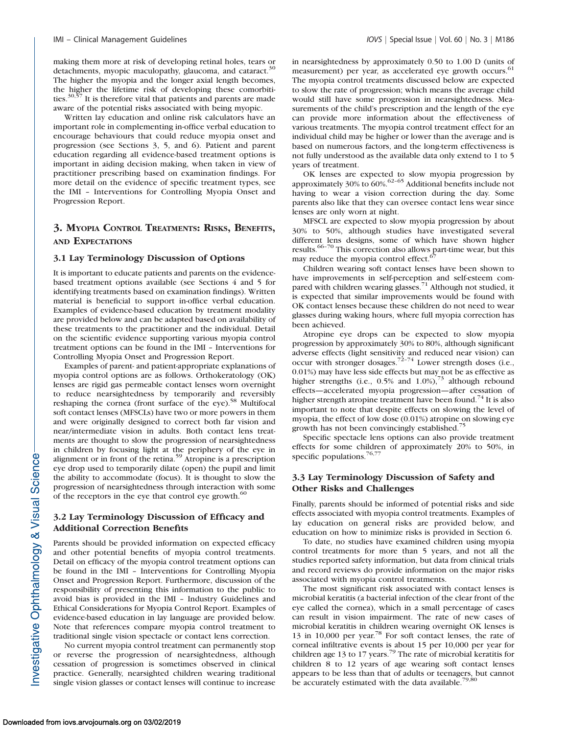making them more at risk of developing retinal holes, tears or detachments, myopic maculopathy, glaucoma, and cataract.<sup>30</sup> The higher the myopia and the longer axial length becomes, the higher the lifetime risk of developing these comorbitities. $30,57$  It is therefore vital that patients and parents are made aware of the potential risks associated with being myopic.

Written lay education and online risk calculators have an important role in complementing in-office verbal education to encourage behaviours that could reduce myopia onset and progression (see Sections 3, 5, and 6). Patient and parent education regarding all evidence-based treatment options is important in aiding decision making, when taken in view of practitioner prescribing based on examination findings. For more detail on the evidence of specific treatment types, see the IMI – Interventions for Controlling Myopia Onset and Progression Report.

# 3. MYOPIA CONTROL TREATMENTS: RISKS, BENEFITS, AND EXPECTATIONS

#### 3.1 Lay Terminology Discussion of Options

It is important to educate patients and parents on the evidencebased treatment options available (see Sections 4 and 5 for identifying treatments based on examination findings). Written material is beneficial to support in-office verbal education. Examples of evidence-based education by treatment modality are provided below and can be adapted based on availability of these treatments to the practitioner and the individual. Detail on the scientific evidence supporting various myopia control treatment options can be found in the IMI – Interventions for Controlling Myopia Onset and Progression Report.

Examples of parent- and patient-appropriate explanations of myopia control options are as follows. Orthokeratology (OK) lenses are rigid gas permeable contact lenses worn overnight to reduce nearsightedness by temporarily and reversibly reshaping the cornea (front surface of the eye).<sup>58</sup> Multifocal soft contact lenses (MFSCLs) have two or more powers in them and were originally designed to correct both far vision and near/intermediate vision in adults. Both contact lens treatments are thought to slow the progression of nearsightedness in children by focusing light at the periphery of the eye in alignment or in front of the retina.<sup>59</sup> Atropine is a prescription eye drop used to temporarily dilate (open) the pupil and limit the ability to accommodate (focus). It is thought to slow the progression of nearsightedness through interaction with some of the receptors in the eye that control eye growth.<sup>60</sup>

# 3.2 Lay Terminology Discussion of Efficacy and Additional Correction Benefits

Parents should be provided information on expected efficacy and other potential benefits of myopia control treatments. Detail on efficacy of the myopia control treatment options can be found in the IMI – Interventions for Controlling Myopia Onset and Progression Report. Furthermore, discussion of the responsibility of presenting this information to the public to avoid bias is provided in the IMI – Industry Guidelines and Ethical Considerations for Myopia Control Report. Examples of evidence-based education in lay language are provided below. Note that references compare myopia control treatment to traditional single vision spectacle or contact lens correction.

No current myopia control treatment can permanently stop or reverse the progression of nearsightedness, although cessation of progression is sometimes observed in clinical practice. Generally, nearsighted children wearing traditional single vision glasses or contact lenses will continue to increase in nearsightedness by approximately 0.50 to 1.00 D (units of measurement) per year, as accelerated eye growth occurs.<sup>61</sup> The myopia control treatments discussed below are expected to slow the rate of progression; which means the average child would still have some progression in nearsightedness. Measurements of the child's prescription and the length of the eye can provide more information about the effectiveness of various treatments. The myopia control treatment effect for an individual child may be higher or lower than the average and is based on numerous factors, and the long-term effectiveness is not fully understood as the available data only extend to 1 to 5 years of treatment.

OK lenses are expected to slow myopia progression by approximately  $30\%$  to  $60\%$ .<sup>62–65</sup> Additional benefits include not having to wear a vision correction during the day. Some parents also like that they can oversee contact lens wear since lenses are only worn at night.

MFSCL are expected to slow myopia progression by about 30% to 50%, although studies have investigated several different lens designs, some of which have shown higher results.66–70 This correction also allows part-time wear, but this may reduce the myopia control effect.<sup>67</sup>

Children wearing soft contact lenses have been shown to have improvements in self-perception and self-esteem compared with children wearing glasses.<sup>71</sup> Although not studied, it is expected that similar improvements would be found with OK contact lenses because these children do not need to wear glasses during waking hours, where full myopia correction has been achieved.

Atropine eye drops can be expected to slow myopia progression by approximately 30% to 80%, although significant adverse effects (light sensitivity and reduced near vision) can<br>occur with stronger dosages.<sup>72-74</sup> Lower strength doses (i.e., 0.01%) may have less side effects but may not be as effective as higher strengths (i.e., 0.5% and 1.0%),<sup>73</sup> although rebound effects—accelerated myopia progression—after cessation of higher strength atropine treatment have been found.<sup>74</sup> It is also important to note that despite effects on slowing the level of myopia, the effect of low dose (0.01%) atropine on slowing eye growth has not been convincingly established.<sup>75</sup>

Specific spectacle lens options can also provide treatment effects for some children of approximately 20% to 50%, in specific populations. $76,77$ 

# 3.3 Lay Terminology Discussion of Safety and Other Risks and Challenges

Finally, parents should be informed of potential risks and side effects associated with myopia control treatments. Examples of lay education on general risks are provided below, and education on how to minimize risks is provided in Section 6.

To date, no studies have examined children using myopia control treatments for more than 5 years, and not all the studies reported safety information, but data from clinical trials and record reviews do provide information on the major risks associated with myopia control treatments.

The most significant risk associated with contact lenses is microbial keratitis (a bacterial infection of the clear front of the eye called the cornea), which in a small percentage of cases can result in vision impairment. The rate of new cases of microbial keratitis in children wearing overnight OK lenses is 13 in 10,000 per year.78 For soft contact lenses, the rate of corneal infiltrative events is about 15 per 10,000 per year for children age 13 to 17 years.<sup>79</sup> The rate of microbial keratitis for children 8 to 12 years of age wearing soft contact lenses appears to be less than that of adults or teenagers, but cannot be accurately estimated with the data available.<sup>79,80</sup>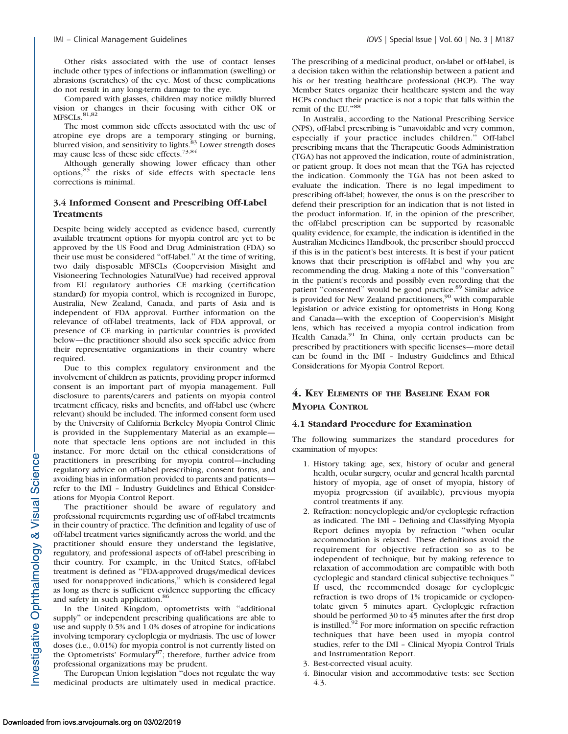Other risks associated with the use of contact lenses include other types of infections or inflammation (swelling) or abrasions (scratches) of the eye. Most of these complications do not result in any long-term damage to the eye.

Compared with glasses, children may notice mildly blurred vision or changes in their focusing with either OK or  $MFSCLS.<sup>81,82</sup>$ 

The most common side effects associated with the use of atropine eye drops are a temporary stinging or burning, blurred vision, and sensitivity to lights.<sup>83</sup> Lower strength doses may cause less of these side effects.<sup>73,84</sup>

Although generally showing lower efficacy than other options,<sup>85</sup> the risks of side effects with spectacle lens corrections is minimal.

### 3.4 Informed Consent and Prescribing Off-Label **Treatments**

Despite being widely accepted as evidence based, currently available treatment options for myopia control are yet to be approved by the US Food and Drug Administration (FDA) so their use must be considered ''off-label.'' At the time of writing, two daily disposable MFSCLs (Coopervision Misight and Visioneering Technologies NaturalVue) had received approval from EU regulatory authories CE marking (certification standard) for myopia control, which is recognized in Europe, Australia, New Zealand, Canada, and parts of Asia and is independent of FDA approval. Further information on the relevance of off-label treatments, lack of FDA approval, or presence of CE marking in particular countries is provided below—the practitioner should also seek specific advice from their representative organizations in their country where required.

Due to this complex regulatory environment and the involvement of children as patients, providing proper informed consent is an important part of myopia management. Full disclosure to parents/carers and patients on myopia control treatment efficacy, risks and benefits, and off-label use (where relevant) should be included. The informed consent form used by the University of California Berkeley Myopia Control Clinic is provided in the [Supplementary Material](https://arvo.silverchair-cdn.com/arvo/content_public/journal/iovs/937872/iovs-60-03-07_s01.docx?Expires=1551457603&Signature=uZ~BH12WbhFJpeXsuFRcBH52UDEDs29eUnlqsxhphP4JBewWgRvbVQuQEL9TMc2U8KvUCv98PfmkLMOCmNkqmac6dzHc0O6FZvjecceFNzNFmxbtB17Ve6VEcfxWXmvj5NjjDw7JI4W-sU3TloSz5y9yn-rtTRfho1ov5shxK2D0nKy3W1sum~q8-pu~ZKae8WcwoZTY0BUv8q~84wcyYge-puEvfOz2FCYH~28rPTBZtyxpg32fryUBXMKVarQQQGTV-waTc23KsXLkr7ahg940oYGKHVniyTa2wIkMmQHz6umblYIKecgR~ZpFBnPJa8U-HhKRc7HSl0BdS3fcvQ__&Key-Pair-Id=APKAIE5G5CRDK6RD3PGA) as an example note that spectacle lens options are not included in this instance. For more detail on the ethical considerations of practitioners in prescribing for myopia control—including regulatory advice on off-label prescribing, consent forms, and avoiding bias in information provided to parents and patients refer to the IMI – Industry Guidelines and Ethical Considerations for Myopia Control Report.

The practitioner should be aware of regulatory and professional requirements regarding use of off-label treatments in their country of practice. The definition and legality of use of off-label treatment varies significantly across the world, and the practitioner should ensure they understand the legislative, regulatory, and professional aspects of off-label prescribing in their country. For example, in the United States, off-label treatment is defined as ''FDA-approved drugs/medical devices used for nonapproved indications,'' which is considered legal as long as there is sufficient evidence supporting the efficacy and safety in such application.<sup>86</sup>

In the United Kingdom, optometrists with ''additional supply'' or independent prescribing qualifications are able to use and supply 0.5% and 1.0% doses of atropine for indications involving temporary cycloplegia or mydriasis. The use of lower doses (i.e., 0.01%) for myopia control is not currently listed on the Optometrists' Formulary<sup>87</sup>; therefore, further advice from professional organizations may be prudent.

The European Union legislation ''does not regulate the way medicinal products are ultimately used in medical practice. The prescribing of a medicinal product, on-label or off-label, is a decision taken within the relationship between a patient and his or her treating healthcare professional (HCP). The way Member States organize their healthcare system and the way HCPs conduct their practice is not a topic that falls within the remit of the EU."88

In Australia, according to the National Prescribing Service (NPS), off-label prescribing is ''unavoidable and very common, especially if your practice includes children.'' Off-label prescribing means that the Therapeutic Goods Administration (TGA) has not approved the indication, route of administration, or patient group. It does not mean that the TGA has rejected the indication. Commonly the TGA has not been asked to evaluate the indication. There is no legal impediment to prescribing off-label; however, the onus is on the prescriber to defend their prescription for an indication that is not listed in the product information. If, in the opinion of the prescriber, the off-label prescription can be supported by reasonable quality evidence, for example, the indication is identified in the Australian Medicines Handbook, the prescriber should proceed if this is in the patient's best interests. It is best if your patient knows that their prescription is off-label and why you are recommending the drug. Making a note of this ''conversation'' in the patient's records and possibly even recording that the patient "consented" would be good practice.<sup>89</sup> Similar advice is provided for New Zealand practitioners,<sup>90</sup> with comparable legislation or advice existing for optometrists in Hong Kong and Canada—with the exception of Coopervision's Misight lens, which has received a myopia control indication from Health Canada.<sup>91</sup> In China, only certain products can be prescribed by practitioners with specific licenses—more detail can be found in the IMI – Industry Guidelines and Ethical Considerations for Myopia Control Report.

# 4. KEY ELEMENTS OF THE BASELINE EXAM FOR MYOPIA CONTROL

#### 4.1 Standard Procedure for Examination

The following summarizes the standard procedures for examination of myopes:

- 1. History taking: age, sex, history of ocular and general health, ocular surgery, ocular and general health parental history of myopia, age of onset of myopia, history of myopia progression (if available), previous myopia control treatments if any.
- 2. Refraction: noncycloplegic and/or cycloplegic refraction as indicated. The IMI – Defining and Classifying Myopia Report defines myopia by refraction ''when ocular accommodation is relaxed. These definitions avoid the requirement for objective refraction so as to be independent of technique, but by making reference to relaxation of accommodation are compatible with both cycloplegic and standard clinical subjective techniques.'' If used, the recommended dosage for cycloplegic refraction is two drops of 1% tropicamide or cyclopentolate given 5 minutes apart. Cycloplegic refraction should be performed 30 to 45 minutes after the first drop is instilled. $92$  For more information on specific refraction techniques that have been used in myopia control studies, refer to the IMI – Clinical Myopia Control Trials and Instrumentation Report.
- 3. Best-corrected visual acuity.
- 4. Binocular vision and accommodative tests: see Section 4.3.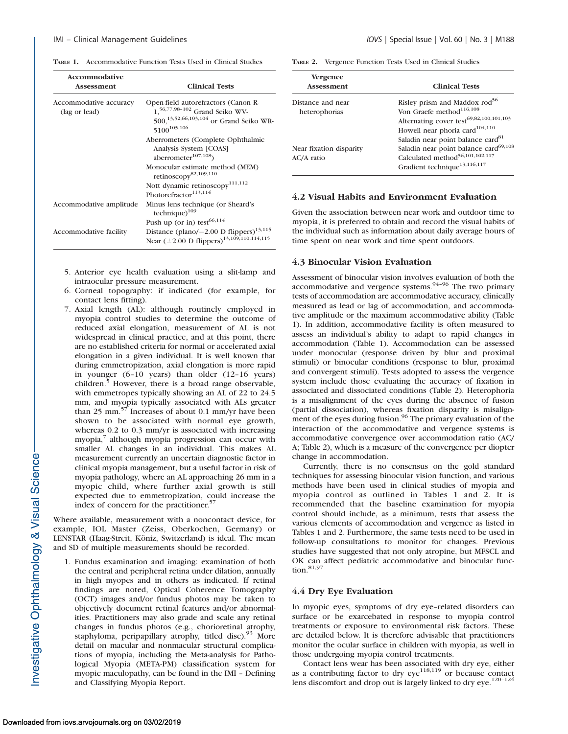TABLE 1. Accommodative Function Tests Used in Clinical Studies

| Accommodative<br>Assessment             | <b>Clinical Tests</b>                                                                                                                                               |
|-----------------------------------------|---------------------------------------------------------------------------------------------------------------------------------------------------------------------|
| Accommodative accuracy<br>(lag or lead) | Open-field autorefractors (Canon R-<br>1, <sup>56,77,98-102</sup> Grand Seiko WV-<br>500, <sup>13,52,66,103,104</sup> or Grand Seiko WR-<br>5100 <sup>105,106</sup> |
|                                         | Aberrometers (Complete Ophthalmic                                                                                                                                   |
|                                         | Analysis System [COAS]<br>aberrometer $107,108$                                                                                                                     |
|                                         | Monocular estimate method (MEM)<br>retinoscopy <sup>82,109,110</sup>                                                                                                |
|                                         | Nott dynamic retinoscopy <sup>111,112</sup>                                                                                                                         |
|                                         | Photorefractor <sup>113,114</sup>                                                                                                                                   |
| Accommodative amplitude                 | Minus lens technique (or Sheard's<br>technique) $109$                                                                                                               |
|                                         | Push up (or in) test <sup>66,114</sup>                                                                                                                              |
| Accommodative facility                  | Distance (plano/ $-2.00$ D flippers) <sup>13,115</sup>                                                                                                              |
|                                         | Near $(\pm 2.00 \text{ D flippers})^{13,109,110,114,115}$                                                                                                           |

- 5. Anterior eye health evaluation using a slit-lamp and intraocular pressure measurement.
- 6. Corneal topography: if indicated (for example, for contact lens fitting).
- 7. Axial length (AL): although routinely employed in myopia control studies to determine the outcome of reduced axial elongation, measurement of AL is not widespread in clinical practice, and at this point, there are no established criteria for normal or accelerated axial elongation in a given individual. It is well known that during emmetropization, axial elongation is more rapid in younger (6–10 years) than older (12–16 years) children.<sup>5</sup> However, there is a broad range observable, with emmetropes typically showing an AL of 22 to 24.5 mm, and myopia typically associated with ALs greater than 25 mm. $57$  Increases of about 0.1 mm/yr have been shown to be associated with normal eye growth, whereas  $0.2$  to  $0.3$  mm/yr is associated with increasing myopia,<sup>7</sup> although myopia progression can occur with smaller AL changes in an individual. This makes AL measurement currently an uncertain diagnostic factor in clinical myopia management, but a useful factor in risk of myopia pathology, where an AL approaching 26 mm in a myopic child, where further axial growth is still expected due to emmetropization, could increase the index of concern for the practitioner.<sup>57</sup>

Where available, measurement with a noncontact device, for example, IOL Master (Zeiss, Oberkochen, Germany) or LENSTAR (Haag-Streit, Köniz, Switzerland) is ideal. The mean and SD of multiple measurements should be recorded.

1. Fundus examination and imaging: examination of both the central and peripheral retina under dilation, annually in high myopes and in others as indicated. If retinal findings are noted, Optical Coherence Tomography (OCT) images and/or fundus photos may be taken to objectively document retinal features and/or abnormalities. Practitioners may also grade and scale any retinal changes in fundus photos (e.g., chorioretinal atrophy, staphyloma, peripapillary atrophy, titled disc). More detail on macular and nonmacular structural complications of myopia, including the Meta-analysis for Pathological Myopia (META-PM) classification system for myopic maculopathy, can be found in the IMI – Defining and Classifying Myopia Report.

TABLE 2. Vergence Function Tests Used in Clinical Studies

| Vergence<br><b>Assessment</b> | <b>Clinical Tests</b>                               |
|-------------------------------|-----------------------------------------------------|
| Distance and near             | Risley prism and Maddox rod <sup>56</sup>           |
| heterophorias                 | Von Graefe method <sup>116,108</sup>                |
|                               | Alternating cover test <sup>69,82,100,101,103</sup> |
|                               | Howell near phoria card <sup>104,110</sup>          |
|                               | Saladin near point balance card <sup>81</sup>       |
| Near fixation disparity       | Saladin near point balance card <sup>69,108</sup>   |
| AC/A ratio                    | Calculated method <sup>56,101,102,117</sup>         |
|                               | Gradient technique <sup>13,116,117</sup>            |

#### 4.2 Visual Habits and Environment Evaluation

Given the association between near work and outdoor time to myopia, it is preferred to obtain and record the visual habits of the individual such as information about daily average hours of time spent on near work and time spent outdoors.

#### 4.3 Binocular Vision Evaluation

Assessment of binocular vision involves evaluation of both the accommodative and vergence systems.<sup>94-96</sup> The two primary tests of accommodation are accommodative accuracy, clinically measured as lead or lag of accommodation, and accommodative amplitude or the maximum accommodative ability (Table 1). In addition, accommodative facility is often measured to assess an individual's ability to adapt to rapid changes in accommodation (Table 1). Accommodation can be assessed under monocular (response driven by blur and proximal stimuli) or binocular conditions (response to blur, proximal and convergent stimuli). Tests adopted to assess the vergence system include those evaluating the accuracy of fixation in associated and dissociated conditions (Table 2). Heterophoria is a misalignment of the eyes during the absence of fusion (partial dissociation), whereas fixation disparity is misalignment of the eyes during fusion.<sup>96</sup> The primary evaluation of the interaction of the accommodative and vergence systems is accommodative convergence over accommodation ratio (AC/ A; Table 2), which is a measure of the convergence per diopter change in accommodation.

Currently, there is no consensus on the gold standard techniques for assessing binocular vision function, and various methods have been used in clinical studies of myopia and myopia control as outlined in Tables 1 and 2. It is recommended that the baseline examination for myopia control should include, as a minimum, tests that assess the various elements of accommodation and vergence as listed in Tables 1 and 2. Furthermore, the same tests need to be used in follow-up consultations to monitor for changes. Previous studies have suggested that not only atropine, but MFSCL and OK can affect pediatric accommodative and binocular function.<sup>81,97</sup>

#### 4.4 Dry Eye Evaluation

In myopic eyes, symptoms of dry eye–related disorders can surface or be exarcebated in response to myopia control treatments or exposure to environmental risk factors. These are detailed below. It is therefore advisable that practitioners monitor the ocular surface in children with myopia, as well in those undergoing myopia control treatments.

Contact lens wear has been associated with dry eye, either as a contributing factor to dry  $eye^{118,119}$  or because contact lens discomfort and drop out is largely linked to dry eye.<sup>120-124</sup>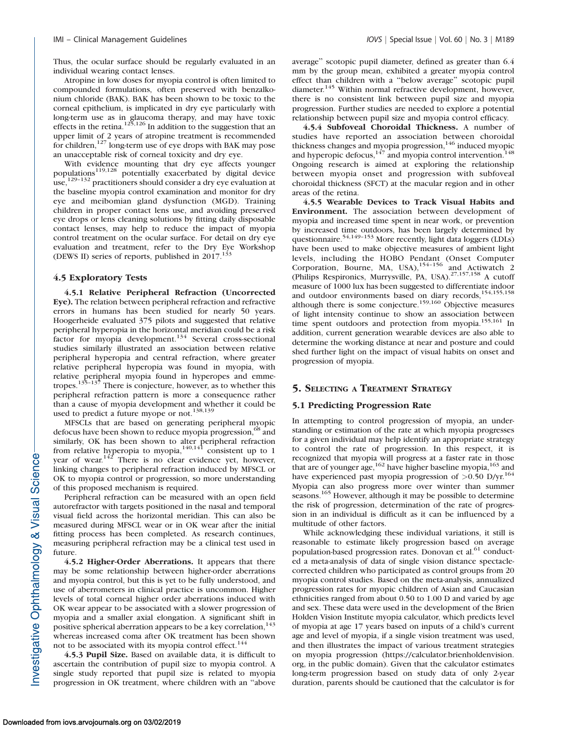Thus, the ocular surface should be regularly evaluated in an individual wearing contact lenses.

Atropine in low doses for myopia control is often limited to compounded formulations, often preserved with benzalkonium chloride (BAK). BAK has been shown to be toxic to the corneal epithelium, is implicated in dry eye particularly with long-term use as in glaucoma therapy, and may have toxic effects in the retina.<sup>125,126</sup> In addition to the suggestion that an upper limit of 2 years of atropine treatment is recommended for children,<sup>127</sup> long-term use of eye drops with BAK may pose an unacceptable risk of corneal toxicity and dry eye.

With evidence mounting that dry eye affects younger populations<sup>119,128</sup> potentially exacerbated by digital device use,<sup>129-132</sup> practitioners should consider a dry eye evaluation at the baseline myopia control examination and monitor for dry eye and meibomian gland dysfunction (MGD). Training children in proper contact lens use, and avoiding preserved eye drops or lens cleaning solutions by fitting daily disposable contact lenses, may help to reduce the impact of myopia control treatment on the ocular surface. For detail on dry eye evaluation and treatment, refer to the Dry Eye Workshop (DEWS II) series of reports, published in  $2017$ .<sup>133</sup>

#### 4.5 Exploratory Tests

4.5.1 Relative Peripheral Refraction (Uncorrected Eye). The relation between peripheral refraction and refractive errors in humans has been studied for nearly 50 years. Hoogerheide evaluated 375 pilots and suggested that relative peripheral hyperopia in the horizontal meridian could be a risk factor for myopia development.<sup>134</sup> Several cross-sectional studies similarly illustrated an association between relative peripheral hyperopia and central refraction, where greater relative peripheral hyperopia was found in myopia, with relative peripheral myopia found in hyperopes and emme-<br>tropes.<sup>135–137</sup> There is conjecture, however, as to whether this peripheral refraction pattern is more a consequence rather than a cause of myopia development and whether it could be used to predict a future myope or not.<sup>138,139</sup>

MFSCLs that are based on generating peripheral myopic defocus have been shown to reduce myopia progression,<sup>68</sup> and similarly, OK has been shown to alter peripheral refraction<br>from relative hyperopia to myopia,<sup>140,141</sup> consistent up to 1 year of wear.<sup>142</sup> There is no clear evidence yet, however, linking changes to peripheral refraction induced by MFSCL or OK to myopia control or progression, so more understanding of this proposed mechanism is required.

Peripheral refraction can be measured with an open field autorefractor with targets positioned in the nasal and temporal visual field across the horizontal meridian. This can also be measured during MFSCL wear or in OK wear after the initial fitting process has been completed. As research continues, measuring peripheral refraction may be a clinical test used in future.

4.5.2 Higher-Order Aberrations. It appears that there may be some relationship between higher-order aberrations and myopia control, but this is yet to be fully understood, and use of aberrometers in clinical practice is uncommon. Higher levels of total corneal higher order aberrations induced with OK wear appear to be associated with a slower progression of myopia and a smaller axial elongation. A significant shift in positive spherical aberration appears to be a key correlation,<sup>143</sup> whereas increased coma after OK treatment has been shown not to be associated with its myopia control effect.<sup>144</sup>

4.5.3 Pupil Size. Based on available data, it is difficult to ascertain the contribution of pupil size to myopia control. A single study reported that pupil size is related to myopia progression in OK treatment, where children with an ''above average'' scotopic pupil diameter, defined as greater than 6.4 mm by the group mean, exhibited a greater myopia control effect than children with a ''below average'' scotopic pupil diameter.<sup>145</sup> Within normal refractive development, however, there is no consistent link between pupil size and myopia progression. Further studies are needed to explore a potential relationship between pupil size and myopia control efficacy.

4.5.4 Subfoveal Choroidal Thickness. A number of studies have reported an association between choroidal thickness changes and myopia progression,<sup>146</sup> induced myopic and hyperopic defocus, $147$  and myopia control intervention.<sup>148</sup> Ongoing research is aimed at exploring the relationship between myopia onset and progression with subfoveal choroidal thickness (SFCT) at the macular region and in other areas of the retina.

4.5.5 Wearable Devices to Track Visual Habits and Environment. The association between development of myopia and increased time spent in near work, or prevention by increased time outdoors, has been largely determined by questionnaire.<sup>54,149-153</sup> More recently, light data loggers (LDLs) have been used to make objective measures of ambient light levels, including the HOBO Pendant (Onset Computer Corporation, Bourne, MA, USA), $154-156$  and Actiwatch 2 (Philips Respironics, Murrysville, PA, USA).<sup>27,157,158</sup> A cutoff measure of 1000 lux has been suggested to differentiate indoor and outdoor environments based on diary records,<sup>154,155,158</sup> although there is some conjecture.<sup>159,160</sup> Objective measures of light intensity continue to show an association between time spent outdoors and protection from myopia.<sup>155,161</sup> In addition, current generation wearable devices are also able to determine the working distance at near and posture and could shed further light on the impact of visual habits on onset and progression of myopia.

# 5. SELECTING A TREATMENT STRATEGY

#### 5.1 Predicting Progression Rate

In attempting to control progression of myopia, an understanding or estimation of the rate at which myopia progresses for a given individual may help identify an appropriate strategy to control the rate of progression. In this respect, it is recognized that myopia will progress at a faster rate in those that are of younger age,  $162$  have higher baseline myopia,  $163$  and have experienced past myopia progression of  $>0.50$  D/yr.<sup>164</sup> Myopia can also progress more over winter than summer seasons.<sup>165</sup> However, although it may be possible to determine the risk of progression, determination of the rate of progression in an individual is difficult as it can be influenced by a multitude of other factors.

While acknowledging these individual variations, it still is reasonable to estimate likely progression based on average population-based progression rates. Donovan et al.<sup>61</sup> conducted a meta-analysis of data of single vision distance spectaclecorrected children who participated as control groups from 20 myopia control studies. Based on the meta-analysis, annualized progression rates for myopic children of Asian and Caucasian ethnicities ranged from about 0.50 to 1.00 D and varied by age and sex. These data were used in the development of the Brien Holden Vision Institute myopia calculator, which predicts level of myopia at age 17 years based on inputs of a child's current age and level of myopia, if a single vision treatment was used, and then illustrates the impact of various treatment strategies on myopia progression (https://calculator.brienholdenvision. org, in the public domain). Given that the calculator estimates long-term progression based on study data of only 2-year duration, parents should be cautioned that the calculator is for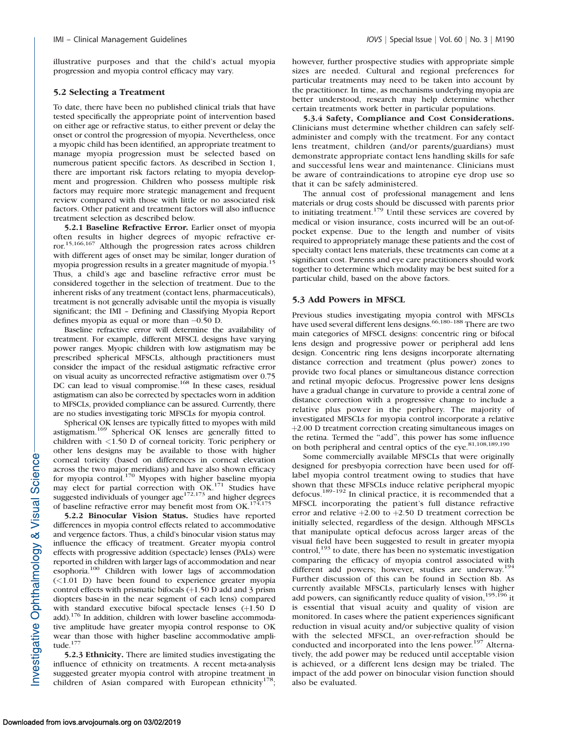illustrative purposes and that the child's actual myopia progression and myopia control efficacy may vary.

#### 5.2 Selecting a Treatment

To date, there have been no published clinical trials that have tested specifically the appropriate point of intervention based on either age or refractive status, to either prevent or delay the onset or control the progression of myopia. Nevertheless, once a myopic child has been identified, an appropriate treatment to manage myopia progression must be selected based on numerous patient specific factors. As described in Section 1, there are important risk factors relating to myopia development and progression. Children who possess multiple risk factors may require more strategic management and frequent review compared with those with little or no associated risk factors. Other patient and treatment factors will also influence treatment selection as described below.

5.2.1 Baseline Refractive Error. Earlier onset of myopia often results in higher degrees of myopic refractive error.15,166,167 Although the progression rates across children with different ages of onset may be similar, longer duration of myopia progression results in a greater magnitude of myopia.<sup>15</sup> Thus, a child's age and baseline refractive error must be considered together in the selection of treatment. Due to the inherent risks of any treatment (contact lens, pharmaceuticals), treatment is not generally advisable until the myopia is visually significant; the IMI – Defining and Classifying Myopia Report defines myopia as equal or more than -0.50 D.

Baseline refractive error will determine the availability of treatment. For example, different MFSCL designs have varying power ranges. Myopic children with low astigmatism may be prescribed spherical MFSCLs, although practitioners must consider the impact of the residual astigmatic refractive error on visual acuity as uncorrected refractive astigmatism over 0.75 DC can lead to visual compromise.<sup>168</sup> In these cases, residual astigmatism can also be corrected by spectacles worn in addition to MFSCLs, provided compliance can be assured. Currently, there are no studies investigating toric MFSCLs for myopia control.

Spherical OK lenses are typically fitted to myopes with mild astigmatism.<sup>169</sup> Spherical OK lenses are generally fitted to children with <1.50 D of corneal toricity. Toric periphery or other lens designs may be available to those with higher corneal toricity (based on differences in corneal elevation across the two major meridians) and have also shown efficacy for myopia control.<sup>170</sup> Myopes with higher baseline myopia may elect for partial correction with OK.<sup>171</sup> Studies have suggested individuals of younger  $age^{172,173}$  and higher degrees of baseline refractive error may benefit most from OK.<sup>174,175</sup>

5.2.2 Binocular Vision Status. Studies have reported differences in myopia control effects related to accommodative and vergence factors. Thus, a child's binocular vision status may influence the efficacy of treatment. Greater myopia control effects with progressive addition (spectacle) lenses (PALs) were reported in children with larger lags of accommodation and near esophoria.100 Children with lower lags of accommodation  $(\leq1.01)$  have been found to experience greater myopia control effects with prismatic bifocals  $(+1.50$  D add and 3 prism diopters base-in in the near segment of each lens) compared with standard executive bifocal spectacle lenses  $(+1.50)$  D add).<sup>176</sup> In addition, children with lower baseline accommodative amplitude have greater myopia control response to OK wear than those with higher baseline accommodative amplitude.<sup>177</sup>

5.2.3 Ethnicity. There are limited studies investigating the influence of ethnicity on treatments. A recent meta-analysis suggested greater myopia control with atropine treatment in children of Asian compared with European ethnicity<sup>178</sup>; sizes are needed. Cultural and regional preferences for particular treatments may need to be taken into account by the practitioner. In time, as mechanisms underlying myopia are better understood, research may help determine whether certain treatments work better in particular populations.

5.3.4 Safety, Compliance and Cost Considerations. Clinicians must determine whether children can safely selfadminister and comply with the treatment. For any contact lens treatment, children (and/or parents/guardians) must demonstrate appropriate contact lens handling skills for safe and successful lens wear and maintenance. Clinicians must be aware of contraindications to atropine eye drop use so that it can be safely administered.

The annual cost of professional management and lens materials or drug costs should be discussed with parents prior to initiating treatment.<sup>179</sup> Until these services are covered by medical or vision insurance, costs incurred will be an out-ofpocket expense. Due to the length and number of visits required to appropriately manage these patients and the cost of specialty contact lens materials, these treatments can come at a significant cost. Parents and eye care practitioners should work together to determine which modality may be best suited for a particular child, based on the above factors.

#### 5.3 Add Powers in MFSCL

Previous studies investigating myopia control with MFSCLs have used several different lens designs.<sup>66,180-188</sup> There are two main categories of MFSCL designs: concentric ring or bifocal lens design and progressive power or peripheral add lens design. Concentric ring lens designs incorporate alternating distance correction and treatment (plus power) zones to provide two focal planes or simultaneous distance correction and retinal myopic defocus. Progressive power lens designs have a gradual change in curvature to provide a central zone of distance correction with a progressive change to include a relative plus power in the periphery. The majority of investigated MFSCLs for myopia control incorporate a relative þ2.00 D treatment correction creating simultaneous images on the retina. Termed the ''add'', this power has some influence on both peripheral and central optics of the eye.<sup>81,108,189,190</sup>

Some commercially available MFSCLs that were originally designed for presbyopia correction have been used for offlabel myopia control treatment owing to studies that have shown that these MFSCLs induce relative peripheral myopic defocus.189–192 In clinical practice, it is recommended that a MFSCL incorporating the patient's full distance refractive error and relative  $+2.00$  to  $+2.50$  D treatment correction be initially selected, regardless of the design. Although MFSCLs that manipulate optical defocus across larger areas of the visual field have been suggested to result in greater myopia control, $193$  to date, there has been no systematic investigation comparing the efficacy of myopia control associated with different add powers; however, studies are underway.<sup>194</sup> Further discussion of this can be found in Section 8b. As currently available MFSCLs, particularly lenses with higher add powers, can significantly reduce quality of vision,  $195,196$  it is essential that visual acuity and quality of vision are monitored. In cases where the patient experiences significant reduction in visual acuity and/or subjective quality of vision with the selected MFSCL, an over-refraction should be conducted and incorporated into the lens power.<sup>197</sup> Alternatively, the add power may be reduced until acceptable vision is achieved, or a different lens design may be trialed. The impact of the add power on binocular vision function should also be evaluated.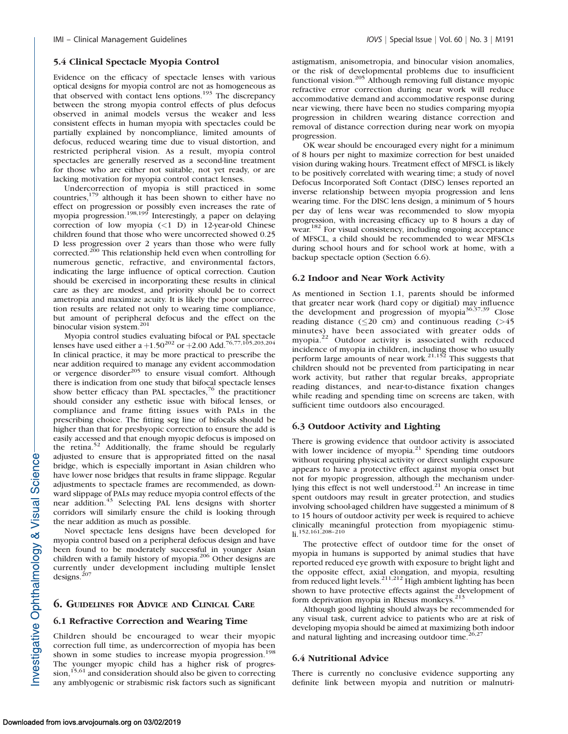#### 5.4 Clinical Spectacle Myopia Control

Evidence on the efficacy of spectacle lenses with various optical designs for myopia control are not as homogeneous as that observed with contact lens options.<sup>193</sup> The discrepancy between the strong myopia control effects of plus defocus observed in animal models versus the weaker and less consistent effects in human myopia with spectacles could be partially explained by noncompliance, limited amounts of defocus, reduced wearing time due to visual distortion, and restricted peripheral vision. As a result, myopia control spectacles are generally reserved as a second-line treatment for those who are either not suitable, not yet ready, or are lacking motivation for myopia control contact lenses.

Undercorrection of myopia is still practiced in some countries,179 although it has been shown to either have no effect on progression or possibly even increases the rate of myopia progression.<sup>198,199</sup> Interestingly, a paper on delaying correction of low myopia  $(<1)$  D) in 12-year-old Chinese children found that those who were uncorrected showed 0.25 D less progression over 2 years than those who were fully corrected.<sup>200</sup> This relationship held even when controlling for numerous genetic, refractive, and environmental factors, indicating the large influence of optical correction. Caution should be exercised in incorporating these results in clinical care as they are modest, and priority should be to correct ametropia and maximize acuity. It is likely the poor uncorrection results are related not only to wearing time compliance, but amount of peripheral defocus and the effect on the binocular vision system.<sup>201</sup>

Myopia control studies evaluating bifocal or PAL spectacle<br>lenses have used either a +1.50<sup>202</sup> or +2.00 Add.<sup>76,77,105,203,204</sup> In clinical practice, it may be more practical to prescribe the near addition required to manage any evident accommodation or vergence disorder<sup>205</sup> to ensure visual comfort. Although there is indication from one study that bifocal spectacle lenses show better efficacy than PAL spectacles, $76$  the practitioner should consider any esthetic issue with bifocal lenses, or compliance and frame fitting issues with PALs in the prescribing choice. The fitting seg line of bifocals should be higher than that for presbyopic correction to ensure the add is easily accessed and that enough myopic defocus is imposed on the retina.<sup>52</sup> Additionally, the frame should be regularly adjusted to ensure that is appropriated fitted on the nasal bridge, which is especially important in Asian children who have lower nose bridges that results in frame slippage. Regular adjustments to spectacle frames are recommended, as downward slippage of PALs may reduce myopia control effects of the near addition.<sup>43</sup> Selecting PAL lens designs with shorter corridors will similarly ensure the child is looking through the near addition as much as possible.

Novel spectacle lens designs have been developed for myopia control based on a peripheral defocus design and have been found to be moderately successful in younger Asian children with a family history of myopia.<sup>206</sup> Other designs are currently under development including multiple lenslet designs.<sup>207</sup>

#### 6. GUIDELINES FOR ADVICE AND CLINICAL CARE

#### 6.1 Refractive Correction and Wearing Time

Children should be encouraged to wear their myopic correction full time, as undercorrection of myopia has been shown in some studies to increase myopia progression.<sup>198</sup> The younger myopic child has a higher risk of progres $sion$ ,<sup>15,61</sup> and consideration should also be given to correcting any amblyogenic or strabismic risk factors such as significant astigmatism, anisometropia, and binocular vision anomalies, or the risk of developmental problems due to insufficient functional vision.<sup>205</sup> Although removing full distance myopic refractive error correction during near work will reduce accommodative demand and accommodative response during near viewing, there have been no studies comparing myopia progression in children wearing distance correction and removal of distance correction during near work on myopia progression.

OK wear should be encouraged every night for a minimum of 8 hours per night to maximize correction for best unaided vision during waking hours. Treatment effect of MFSCL is likely to be positively correlated with wearing time; a study of novel Defocus Incorporated Soft Contact (DISC) lenses reported an inverse relationship between myopia progression and lens wearing time. For the DISC lens design, a minimum of 5 hours per day of lens wear was recommended to slow myopia progression, with increasing efficacy up to 8 hours a day of wear.<sup>182</sup> For visual consistency, including ongoing acceptance of MFSCL, a child should be recommended to wear MFSCLs during school hours and for school work at home, with a backup spectacle option (Section 6.6).

#### 6.2 Indoor and Near Work Activity

As mentioned in Section 1.1, parents should be informed that greater near work (hard copy or digitial) may influence the development and progression of myopia $36,37,39$  Close reading distance  $(\leq 20 \text{ cm})$  and continuous reading  $(>45$ minutes) have been associated with greater odds of myopia.<sup>22</sup> Outdoor activity is associated with reduced incidence of myopia in children, including those who usually perform large amounts of near work.<sup>21,152</sup> This suggests that children should not be prevented from participating in near work activity, but rather that regular breaks, appropriate reading distances, and near-to-distance fixation changes while reading and spending time on screens are taken, with sufficient time outdoors also encouraged.

#### 6.3 Outdoor Activity and Lighting

There is growing evidence that outdoor activity is associated with lower incidence of myopia. $21$  Spending time outdoors without requiring physical activity or direct sunlight exposure appears to have a protective effect against myopia onset but not for myopic progression, although the mechanism underlying this effect is not well understood. $21$  An increase in time spent outdoors may result in greater protection, and studies involving school-aged children have suggested a minimum of 8 to 15 hours of outdoor activity per week is required to achieve clinically meaningful protection from myopiagenic stimu-li.152,161,208–210

The protective effect of outdoor time for the onset of myopia in humans is supported by animal studies that have reported reduced eye growth with exposure to bright light and the opposite effect, axial elongation, and myopia, resulting from reduced light levels.<sup>211,212</sup> High ambient lighting has been shown to have protective effects against the development of form deprivation myopia in Rhesus monkeys.<sup>213</sup>

Although good lighting should always be recommended for any visual task, current advice to patients who are at risk of developing myopia should be aimed at maximizing both indoor and natural lighting and increasing outdoor time.<sup>26,27</sup>

#### 6.4 Nutritional Advice

There is currently no conclusive evidence supporting any definite link between myopia and nutrition or malnutri-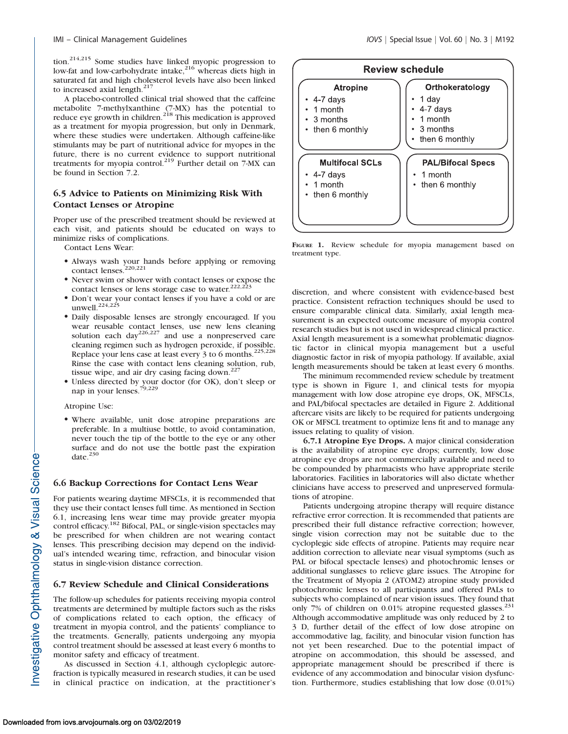tion.<sup>214,215</sup> Some studies have linked myopic progression to low-fat and low-carbohydrate intake, $216$  whereas diets high in saturated fat and high cholesterol levels have also been linked to increased axial length. $217$ 

A placebo-controlled clinical trial showed that the caffeine metabolite 7-methylxanthine (7-MX) has the potential to reduce eye growth in children.<sup>218</sup> This medication is approved as a treatment for myopia progression, but only in Denmark, where these studies were undertaken. Although caffeine-like stimulants may be part of nutritional advice for myopes in the future, there is no current evidence to support nutritional treatments for myopia control.<sup>219</sup> Further detail on 7-MX can be found in Section 7.2.

# 6.5 Advice to Patients on Minimizing Risk With Contact Lenses or Atropine

Proper use of the prescribed treatment should be reviewed at each visit, and patients should be educated on ways to minimize risks of complications.

Contact Lens Wear:

- Always wash your hands before applying or removing contact lenses.<sup>220,221</sup>
- Never swim or shower with contact lenses or expose the contact lenses or lens storage case to water.<sup>222,223</sup>
- Don't wear your contact lenses if you have a cold or are unwell. $^{224,225}$
- Daily disposable lenses are strongly encouraged. If you wear reusable contact lenses, use new lens cleaning solution each  $\frac{226,227}{9}$  and use a nonpreserved care cleaning regimen such as hydrogen peroxide, if possible. Replace your lens case at least every 3 to 6 months.<sup>225,228</sup> Rinse the case with contact lens cleaning solution, rub, tissue wipe, and air dry casing facing down. $22$
- Unless directed by your doctor (for OK), don't sleep or nap in your lenses.<sup>79,229</sup>

Atropine Use:

 Where available, unit dose atropine preparations are preferable. In a multiuse bottle, to avoid contamination, never touch the tip of the bottle to the eye or any other surface and do not use the bottle past the expiration date. $230$ 

#### 6.6 Backup Corrections for Contact Lens Wear

For patients wearing daytime MFSCLs, it is recommended that they use their contact lenses full time. As mentioned in Section 6.1, increasing lens wear time may provide greater myopia control efficacy.<sup>182</sup> Bifocal, PAL, or single-vision spectacles may be prescribed for when children are not wearing contact lenses. This prescribing decision may depend on the individual's intended wearing time, refraction, and binocular vision status in single-vision distance correction.

#### 6.7 Review Schedule and Clinical Considerations

The follow-up schedules for patients receiving myopia control treatments are determined by multiple factors such as the risks of complications related to each option, the efficacy of treatment in myopia control, and the patients' compliance to the treatments. Generally, patients undergoing any myopia control treatment should be assessed at least every 6 months to monitor safety and efficacy of treatment.

As discussed in Section 4.1, although cycloplegic autorefraction is typically measured in research studies, it can be used in clinical practice on indication, at the practitioner's



FIGURE 1. Review schedule for myopia management based on treatment type.

discretion, and where consistent with evidence-based best practice. Consistent refraction techniques should be used to ensure comparable clinical data. Similarly, axial length measurement is an expected outcome measure of myopia control research studies but is not used in widespread clinical practice. Axial length measurement is a somewhat problematic diagnostic factor in clinical myopia management but a useful diagnostic factor in risk of myopia pathology. If available, axial length measurements should be taken at least every 6 months.

The minimum recommended review schedule by treatment type is shown in Figure 1, and clinical tests for myopia management with low dose atropine eye drops, OK, MFSCLs, and PAL/bifocal spectacles are detailed in Figure 2. Additional aftercare visits are likely to be required for patients undergoing OK or MFSCL treatment to optimize lens fit and to manage any issues relating to quality of vision.

6.7.1 Atropine Eye Drops. A major clinical consideration is the availability of atropine eye drops; currently, low dose atropine eye drops are not commercially available and need to be compounded by pharmacists who have appropriate sterile laboratories. Facilities in laboratories will also dictate whether clinicians have access to preserved and unpreserved formulations of atropine.

Patients undergoing atropine therapy will require distance refractive error correction. It is recommended that patients are prescribed their full distance refractive correction; however, single vision correction may not be suitable due to the cycloplegic side effects of atropine. Patients may require near addition correction to alleviate near visual symptoms (such as PAL or bifocal spectacle lenses) and photochromic lenses or additional sunglasses to relieve glare issues. The Atropine for the Treatment of Myopia 2 (ATOM2) atropine study provided photochromic lenses to all participants and offered PALs to subjects who complained of near vision issues. They found that only 7% of children on 0.01% atropine requested glasses.<sup>251</sup> Although accommodative amplitude was only reduced by 2 to 3 D, further detail of the effect of low dose atropine on accommodative lag, facility, and binocular vision function has not yet been researched. Due to the potential impact of atropine on accommodation, this should be assessed, and appropriate management should be prescribed if there is evidence of any accommodation and binocular vision dysfunction. Furthermore, studies establishing that low dose (0.01%)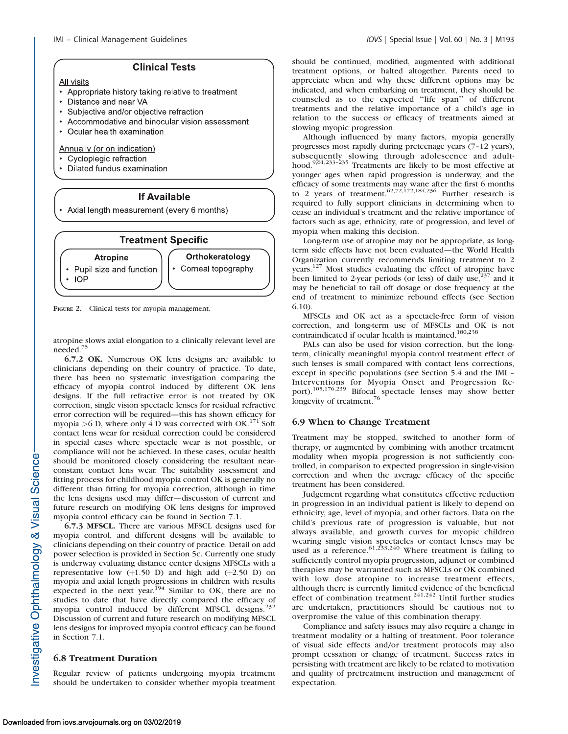### **Clinical Tests**

**All visits** 

- Appropriate history taking relative to treatment
- Distance and near VA
- Subjective and/or objective refraction
- Accommodative and binocular vision assessment
- Ocular health examination

#### Annually (or on indication)

- Cycloplegic refraction
- Dilated fundus examination

# **If Available**

• Axial length measurement (every 6 months)



FIGURE 2. Clinical tests for myopia management.

atropine slows axial elongation to a clinically relevant level are needed.<sup>75</sup>

6.7.2 OK. Numerous OK lens designs are available to clinicians depending on their country of practice. To date, there has been no systematic investigation comparing the efficacy of myopia control induced by different OK lens designs. If the full refractive error is not treated by OK correction, single vision spectacle lenses for residual refractive error correction will be required—this has shown efficacy for myopia >6 D, where only  $\overline{4}$  D was corrected with OK.<sup>171</sup> Soft contact lens wear for residual correction could be considered in special cases where spectacle wear is not possible, or compliance will not be achieved. In these cases, ocular health should be monitored closely considering the resultant nearconstant contact lens wear. The suitability assessment and fitting process for childhood myopia control OK is generally no different than fitting for myopia correction, although in time the lens designs used may differ—discussion of current and future research on modifying OK lens designs for improved myopia control efficacy can be found in Section 7.1.

6.7.3 MFSCL. There are various MFSCL designs used for myopia control, and different designs will be available to clinicians depending on their country of practice. Detail on add power selection is provided in Section 5c. Currently one study is underway evaluating distance center designs MFSCLs with a representative low  $(+1.50)$  D) and high add  $(+2.50)$  D) on myopia and axial length progressions in children with results expected in the next year.<sup>194</sup> Similar to OK, there are no studies to date that have directly compared the efficacy of myopia control induced by different MFSCL designs.<sup>232</sup> Discussion of current and future research on modifying MFSCL lens designs for improved myopia control efficacy can be found in Section 7.1.

#### 6.8 Treatment Duration

Regular review of patients undergoing myopia treatment should be undertaken to consider whether myopia treatment should be continued, modified, augmented with additional treatment options, or halted altogether. Parents need to appreciate when and why these different options may be indicated, and when embarking on treatment, they should be counseled as to the expected ''life span'' of different treatments and the relative importance of a child's age in relation to the success or efficacy of treatments aimed at slowing myopic progression.

Although influenced by many factors, myopia generally progresses most rapidly during preteenage years (7–12 years), subsequently slowing through adolescence and adult-<br>hood.<sup>9,61,233-235</sup> Treatments are likely to be most effective at younger ages when rapid progression is underway, and the efficacy of some treatments may wane after the first 6 months<br>to 2 years of treatment.  $62.72,172,184,236$  Further research is required to fully support clinicians in determining when to cease an individual's treatment and the relative importance of factors such as age, ethnicity, rate of progression, and level of myopia when making this decision.

Long-term use of atropine may not be appropriate, as longterm side effects have not been evaluated—the World Health Organization currently recommends limiting treatment to 2 years.<sup>127</sup> Most studies evaluating the effect of atropine have been limited to 2-year periods (or less) of daily use, $237$  and it may be beneficial to tail off dosage or dose frequency at the end of treatment to minimize rebound effects (see Section 6.10).

MFSCLs and OK act as a spectacle-free form of vision correction, and long-term use of MFSCLs and OK is not contraindicated if ocular health is maintained.<sup>180,238</sup>

PALs can also be used for vision correction, but the longterm, clinically meaningful myopia control treatment effect of such lenses is small compared with contact lens corrections, except in specific populations (see Section 5.4 and the IMI – Interventions for Myopia Onset and Progression Report).105,176,239 Bifocal spectacle lenses may show better longevity of treatment.<sup>76</sup>

#### 6.9 When to Change Treatment

Treatment may be stopped, switched to another form of therapy, or augmented by combining with another treatment modality when myopia progression is not sufficiently controlled, in comparison to expected progression in single-vision correction and when the average efficacy of the specific treatment has been considered.

Judgement regarding what constitutes effective reduction in progression in an individual patient is likely to depend on ethnicity, age, level of myopia, and other factors. Data on the child's previous rate of progression is valuable, but not always available, and growth curves for myopic children wearing single vision spectacles or contact lenses may be used as a reference.<sup>61,233,240</sup> Where treatment is failing to sufficiently control myopia progression, adjunct or combined therapies may be warranted such as MFSCLs or OK combined with low dose atropine to increase treatment effects, although there is currently limited evidence of the beneficial effect of combination treatment.<sup>241,242</sup> Until further studies are undertaken, practitioners should be cautious not to overpromise the value of this combination therapy.

Compliance and safety issues may also require a change in treatment modality or a halting of treatment. Poor tolerance of visual side effects and/or treatment protocols may also prompt cessation or change of treatment. Success rates in persisting with treatment are likely to be related to motivation and quality of pretreatment instruction and management of expectation.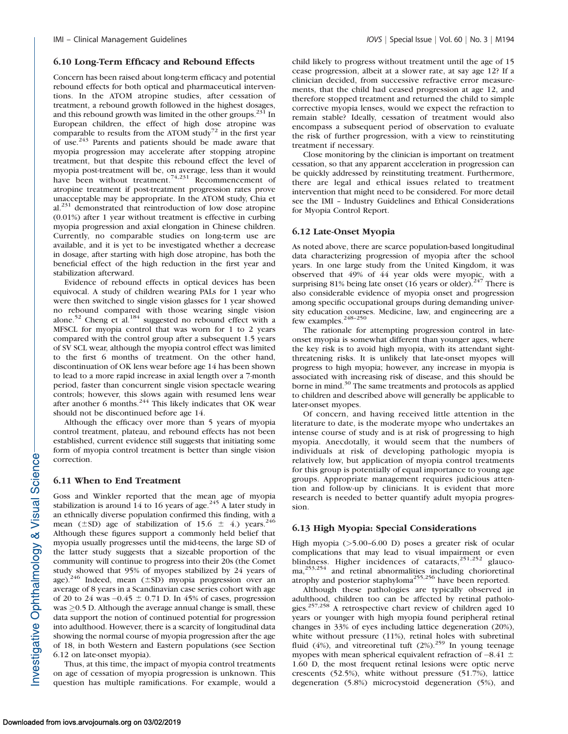#### 6.10 Long-Term Efficacy and Rebound Effects

Concern has been raised about long-term efficacy and potential rebound effects for both optical and pharmaceutical interventions. In the ATOM atropine studies, after cessation of treatment, a rebound growth followed in the highest dosages, and this rebound growth was limited in the other groups. $^{231}$  In European children, the effect of high dose atropine was comparable to results from the ATOM study<sup>72</sup> in the first year of use.243 Parents and patients should be made aware that myopia progression may accelerate after stopping atropine treatment, but that despite this rebound effect the level of myopia post-treatment will be, on average, less than it would have been without treatment.<sup>74,231</sup> Recommencement of atropine treatment if post-treatment progression rates prove unacceptable may be appropriate. In the ATOM study, Chia et  $al.<sup>231</sup>$  demonstrated that reintroduction of low dose atropine (0.01%) after 1 year without treatment is effective in curbing myopia progression and axial elongation in Chinese children. Currently, no comparable studies on long-term use are available, and it is yet to be investigated whether a decrease in dosage, after starting with high dose atropine, has both the beneficial effect of the high reduction in the first year and stabilization afterward.

Evidence of rebound effects in optical devices has been equivocal. A study of children wearing PALs for 1 year who were then switched to single vision glasses for 1 year showed no rebound compared with those wearing single vision alone.<sup>52</sup> Cheng et al.<sup>184</sup> suggested no rebound effect with a MFSCL for myopia control that was worn for 1 to 2 years compared with the control group after a subsequent 1.5 years of SV SCL wear, although the myopia control effect was limited to the first 6 months of treatment. On the other hand, discontinuation of OK lens wear before age 14 has been shown to lead to a more rapid increase in axial length over a 7-month period, faster than concurrent single vision spectacle wearing controls; however, this slows again with resumed lens wear after another 6 months.<sup>244</sup> This likely indicates that OK wear should not be discontinued before age 14.

Although the efficacy over more than 5 years of myopia control treatment, plateau, and rebound effects has not been established, current evidence still suggests that initiating some form of myopia control treatment is better than single vision correction.

#### 6.11 When to End Treatment

Goss and Winkler reported that the mean age of myopia stabilization is around 14 to 16 years of age.<sup>245</sup> A later study in an ethnically diverse population confirmed this finding, with a mean ( $\pm$ SD) age of stabilization of 15.6  $\pm$  4.) years.<sup>246</sup> Although these figures support a commonly held belief that myopia usually progresses until the mid-teens, the large SD of the latter study suggests that a sizeable proportion of the community will continue to progress into their 20s (the Comet study showed that 95% of myopes stabilized by 24 years of age).<sup>246</sup> Indeed, mean ( $\pm$ SD) myopia progression over an average of 8 years in a Scandinavian case series cohort with age of 20 to 24 was  $-0.45 \pm 0.71$  D. In 45% of cases, progression was  $\geq$ 0.5 D. Although the average annual change is small, these data support the notion of continued potential for progression into adulthood. However, there is a scarcity of longitudinal data showing the normal course of myopia progression after the age of 18, in both Western and Eastern populations (see Section 6.12 on late-onset myopia).

Thus, at this time, the impact of myopia control treatments on age of cessation of myopia progression is unknown. This question has multiple ramifications. For example, would a child likely to progress without treatment until the age of 15 cease progression, albeit at a slower rate, at say age 12? If a clinician decided, from successive refractive error measurements, that the child had ceased progression at age 12, and therefore stopped treatment and returned the child to simple corrective myopia lenses, would we expect the refraction to remain stable? Ideally, cessation of treatment would also encompass a subsequent period of observation to evaluate the risk of further progression, with a view to reinstituting treatment if necessary.

Close monitoring by the clinician is important on treatment cessation, so that any apparent acceleration in progression can be quickly addressed by reinstituting treatment. Furthermore, there are legal and ethical issues related to treatment intervention that might need to be considered. For more detail see the IMI – Industry Guidelines and Ethical Considerations for Myopia Control Report.

#### 6.12 Late-Onset Myopia

As noted above, there are scarce population-based longitudinal data characterizing progression of myopia after the school years. In one large study from the United Kingdom, it was observed that 49% of 44 year olds were myopic, with a surprising 81% being late onset (16 years or older).<sup>247</sup> There is also considerable evidence of myopia onset and progression among specific occupational groups during demanding university education courses. Medicine, law, and engineering are a few examples.<sup>248-250</sup>

The rationale for attempting progression control in lateonset myopia is somewhat different than younger ages, where the key risk is to avoid high myopia, with its attendant sightthreatening risks. It is unlikely that late-onset myopes will progress to high myopia; however, any increase in myopia is associated with increasing risk of disease, and this should be borne in mind.<sup>30</sup> The same treatments and protocols as applied to children and described above will generally be applicable to later-onset myopes.

Of concern, and having received little attention in the literature to date, is the moderate myope who undertakes an intense course of study and is at risk of progressing to high myopia. Anecdotally, it would seem that the numbers of individuals at risk of developing pathologic myopia is relatively low, but application of myopia control treatments for this group is potentially of equal importance to young age groups. Appropriate management requires judicious attention and follow-up by clinicians. It is evident that more research is needed to better quantify adult myopia progression.

#### 6.13 High Myopia: Special Considerations

High myopia ( $>5.00-6.00$  D) poses a greater risk of ocular complications that may lead to visual impairment or even blindness. Higher incidences of cataracts,<sup>251,252</sup> glaucoma,253,254 and retinal abnormalities including chorioretinal atrophy and posterior staphyloma<sup>255,256</sup> have been reported.

Although these pathologies are typically observed in adulthood, children too can be affected by retinal pathologies.257,258 A retrospective chart review of children aged 10 years or younger with high myopia found peripheral retinal changes in 33% of eyes including lattice degeneration (20%), white without pressure (11%), retinal holes with subretinal fluid (4%), and vitreoretinal tuft (2%).<sup>259</sup> In young teenage myopes with mean spherical equivalent refraction of  $-8.41 \pm$ 1.60 D, the most frequent retinal lesions were optic nerve crescents (52.5%), white without pressure (51.7%), lattice degeneration (5.8%) microcystoid degeneration (5%), and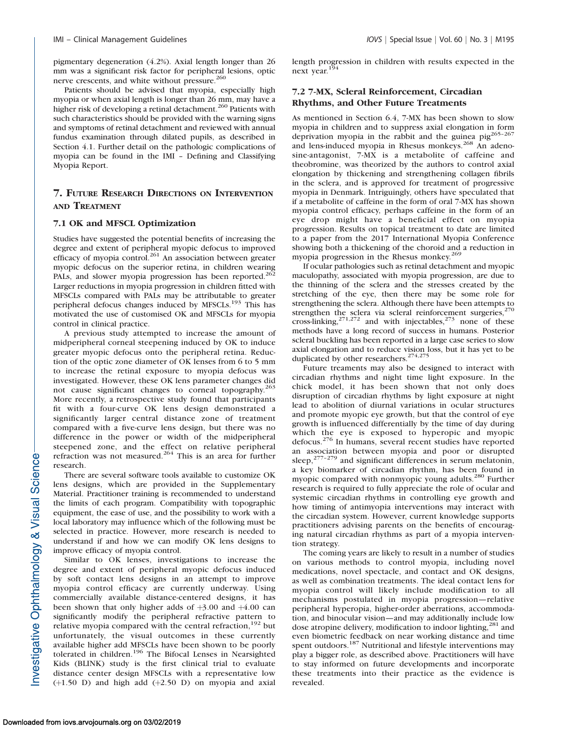pigmentary degeneration (4.2%). Axial length longer than 26 mm was a significant risk factor for peripheral lesions, optic nerve crescents, and white without pressure.<sup>260</sup>

Patients should be advised that myopia, especially high myopia or when axial length is longer than 26 mm, may have a higher risk of developing a retinal detachment.<sup>260</sup> Patients with such characteristics should be provided with the warning signs and symptoms of retinal detachment and reviewed with annual fundus examination through dilated pupils, as described in Section 4.1. Further detail on the pathologic complications of myopia can be found in the IMI – Defining and Classifying Myopia Report.

# 7. FUTURE RESEARCH DIRECTIONS ON INTERVENTION AND TREATMENT

#### 7.1 OK and MFSCL Optimization

Studies have suggested the potential benefits of increasing the degree and extent of peripheral myopic defocus to improved efficacy of myopia control.<sup>261</sup> An association between greater myopic defocus on the superior retina, in children wearing PALs, and slower myopia progression has been reported.<sup>262</sup> Larger reductions in myopia progression in children fitted with MFSCLs compared with PALs may be attributable to greater peripheral defocus changes induced by MFSCLs.<sup>193</sup> This has motivated the use of customised OK and MFSCLs for myopia control in clinical practice.

A previous study attempted to increase the amount of midperipheral corneal steepening induced by OK to induce greater myopic defocus onto the peripheral retina. Reduction of the optic zone diameter of OK lenses from 6 to 5 mm to increase the retinal exposure to myopia defocus was investigated. However, these OK lens parameter changes did not cause significant changes to corneal topography.<sup>263</sup> More recently, a retrospective study found that participants fit with a four-curve OK lens design demonstrated a significantly larger central distance zone of treatment compared with a five-curve lens design, but there was no difference in the power or width of the midperipheral steepened zone, and the effect on relative peripheral refraction was not measured.<sup>264</sup> This is an area for further research.

There are several software tools available to customize OK lens designs, which are provided in the [Supplementary](https://arvo.silverchair-cdn.com/arvo/content_public/journal/iovs/937872/iovs-60-03-07_s01.docx?Expires=1551457603&Signature=uZ~BH12WbhFJpeXsuFRcBH52UDEDs29eUnlqsxhphP4JBewWgRvbVQuQEL9TMc2U8KvUCv98PfmkLMOCmNkqmac6dzHc0O6FZvjecceFNzNFmxbtB17Ve6VEcfxWXmvj5NjjDw) [Material.](https://arvo.silverchair-cdn.com/arvo/content_public/journal/iovs/937872/iovs-60-03-07_s01.docx?Expires=1551457603&Signature=uZ~BH12WbhFJpeXsuFRcBH52UDEDs29eUnlqsxhphP4JBewWgRvbVQuQEL9TMc2U8KvUCv98PfmkLMOCmNkqmac6dzHc0O6FZvjecceFNzNFmxbtB17Ve6VEcfxWXmvj5NjjDw) Practitioner training is recommended to understand the limits of each program. Compatibility with topographic equipment, the ease of use, and the possibility to work with a local laboratory may influence which of the following must be selected in practice. However, more research is needed to understand if and how we can modify OK lens designs to improve efficacy of myopia control.

Similar to OK lenses, investigations to increase the degree and extent of peripheral myopic defocus induced by soft contact lens designs in an attempt to improve myopia control efficacy are currently underway. Using commercially available distance-centered designs, it has been shown that only higher adds of  $+3.00$  and  $+4.00$  can significantly modify the peripheral refractive pattern to relative myopia compared with the central refraction, $192$  but unfortunately, the visual outcomes in these currently available higher add MFSCLs have been shown to be poorly tolerated in children.<sup>196</sup> The Bifocal Lenses in Nearsighted Kids (BLINK) study is the first clinical trial to evaluate distance center design MFSCLs with a representative low  $(+1.50)$  and high add  $(+2.50)$  on myopia and axial

length progression in children with results expected in the next year.<sup>194</sup>

#### 7.2 7-MX, Scleral Reinforcement, Circadian Rhythms, and Other Future Treatments

As mentioned in Section 6.4, 7-MX has been shown to slow myopia in children and to suppress axial elongation in form deprivation myopia in the rabbit and the guinea pig<sup>265-267</sup> and lens-induced myopia in Rhesus monkeys.<sup>268</sup> An adenosine-antagonist, 7-MX is a metabolite of caffeine and theobromine, was theorized by the authors to control axial elongation by thickening and strengthening collagen fibrils in the sclera, and is approved for treatment of progressive myopia in Denmark. Intriguingly, others have speculated that if a metabolite of caffeine in the form of oral 7-MX has shown myopia control efficacy, perhaps caffeine in the form of an eye drop might have a beneficial effect on myopia progression. Results on topical treatment to date are limited to a paper from the 2017 International Myopia Conference showing both a thickening of the choroid and a reduction in myopia progression in the Rhesus monkey.<sup>269</sup>

If ocular pathologies such as retinal detachment and myopic maculopathy, associated with myopia progression, are due to the thinning of the sclera and the stresses created by the stretching of the eye, then there may be some role for strengthening the sclera. Although there have been attempts to strengthen the sclera via scleral reinforcement surgeries,<sup>270</sup> cross-linking,  $271,272$  and with injectables,  $273$  none of these methods have a long record of success in humans. Posterior scleral buckling has been reported in a large case series to slow axial elongation and to reduce vision loss, but it has yet to be duplicated by other researchers.<sup>274,275</sup>

Future treaments may also be designed to interact with circadian rhythms and night time light exposure. In the chick model, it has been shown that not only does disruption of circadian rhythms by light exposure at night lead to abolition of diurnal variations in ocular structures and promote myopic eye growth, but that the control of eye growth is influenced differentially by the time of day during which the eye is exposed to hyperopic and myopic defocus.<sup>276</sup> In humans, several recent studies have reported an association between myopia and poor or disrupted sleep, $277-279$  and significant differences in serum melatonin, a key biomarker of circadian rhythm, has been found in myopic compared with nonmyopic young adults.<sup>280</sup> Further research is required to fully appreciate the role of ocular and systemic circadian rhythms in controlling eye growth and how timing of antimyopia interventions may interact with the circadian system. However, current knowledge supports practitioners advising parents on the benefits of encouraging natural circadian rhythms as part of a myopia intervention strategy.

The coming years are likely to result in a number of studies on various methods to control myopia, including novel medications, novel spectacle, and contact and OK designs, as well as combination treatments. The ideal contact lens for myopia control will likely include modification to all mechanisms postulated in myopia progression—relative peripheral hyperopia, higher-order aberrations, accommodation, and binocular vision—and may additionally include low dose atropine delivery, modification to indoor lighting, $^{281}$  and even biometric feedback on near working distance and time spent outdoors.<sup>187</sup> Nutritional and lifestyle interventions may play a bigger role, as described above. Practitioners will have to stay informed on future developments and incorporate these treatments into their practice as the evidence is revealed.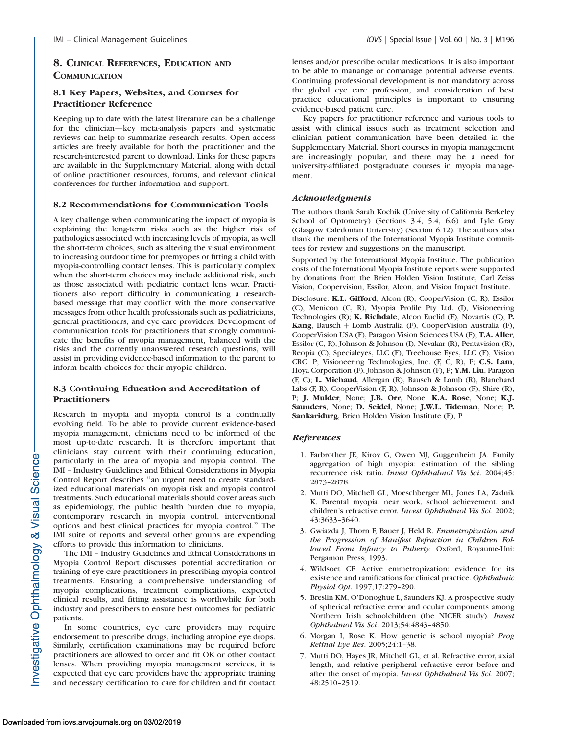# 8. CLINICAL REFERENCES, EDUCATION AND **COMMUNICATION**

# 8.1 Key Papers, Websites, and Courses for Practitioner Reference

Keeping up to date with the latest literature can be a challenge for the clinician—key meta-analysis papers and systematic reviews can help to summarize research results. Open access articles are freely available for both the practitioner and the research-interested parent to download. Links for these papers are available in the [Supplementary Material](https://arvo.silverchair-cdn.com/arvo/content_public/journal/iovs/937872/iovs-60-03-07_s01.docx?Expires=1551457603&Signature=uZ~BH12WbhFJpeXsuFRcBH52UDEDs29eUnlqsxhphP4JBewWgRvbVQuQEL9TMc2U8KvUCv98PfmkLMOCmNkqmac6dzHc0O6FZvjecceFNzNFmxbtB17Ve6VEcfxWXmvj5NjjDw), along with detail of online practitioner resources, forums, and relevant clinical conferences for further information and support.

### 8.2 Recommendations for Communication Tools

A key challenge when communicating the impact of myopia is explaining the long-term risks such as the higher risk of pathologies associated with increasing levels of myopia, as well the short-term choices, such as altering the visual environment to increasing outdoor time for premyopes or fitting a child with myopia-controlling contact lenses. This is particularly complex when the short-term choices may include additional risk, such as those associated with pediatric contact lens wear. Practitioners also report difficulty in communicating a researchbased message that may conflict with the more conservative messages from other health professionals such as pediatricians, general practitioners, and eye care providers. Development of communication tools for practitioners that strongly communicate the benefits of myopia management, balanced with the risks and the currently unanswered research questions, will assist in providing evidence-based information to the parent to inform health choices for their myopic children.

# 8.3 Continuing Education and Accreditation of Practitioners

Research in myopia and myopia control is a continually evolving field. To be able to provide current evidence-based myopia management, clinicians need to be informed of the most up-to-date research. It is therefore important that clinicians stay current with their continuing education, particularly in the area of myopia and myopia control. The IMI – Industry Guidelines and Ethical Considerations in Myopia Control Report describes ''an urgent need to create standardized educational materials on myopia risk and myopia control treatments. Such educational materials should cover areas such as epidemiology, the public health burden due to myopia, contemporary research in myopia control, interventional options and best clinical practices for myopia control.'' The IMI suite of reports and several other groups are expending efforts to provide this information to clinicians.

The IMI – Industry Guidelines and Ethical Considerations in Myopia Control Report discusses potential accreditation or training of eye care practitioners in prescribing myopia control treatments. Ensuring a comprehensive understanding of myopia complications, treatment complications, expected clinical results, and fitting assistance is worthwhile for both industry and prescribers to ensure best outcomes for pediatric patients.

In some countries, eye care providers may require endorsement to prescribe drugs, including atropine eye drops. Similarly, certification examinations may be required before practitioners are allowed to order and fit OK or other contact lenses. When providing myopia management services, it is expected that eye care providers have the appropriate training and necessary certification to care for children and fit contact

lenses and/or prescribe ocular medications. It is also important to be able to manange or comanage potential adverse events. Continuing professional development is not mandatory across the global eye care profession, and consideration of best practice educational principles is important to ensuring evidence-based patient care.

Key papers for practitioner reference and various tools to assist with clinical issues such as treatment selection and clinician–patient communication have been detailed in the [Supplementary Material.](https://arvo.silverchair-cdn.com/arvo/content_public/journal/iovs/937872/iovs-60-03-07_s01.docx?Expires=1551457603&Signature=uZ~BH12WbhFJpeXsuFRcBH52UDEDs29eUnlqsxhphP4JBewWgRvbVQuQEL9TMc2U8KvUCv98PfmkLMOCmNkqmac6dzHc0O6FZvjecceFNzNFmxbtB17Ve6VEcfxWXmvj5NjjDw) Short courses in myopia management are increasingly popular, and there may be a need for university-affiliated postgraduate courses in myopia management.

#### Acknowledgments

The authors thank Sarah Kochik (University of California Berkeley School of Optometry) (Sections 3.4, 5.4, 6.6) and Lyle Gray (Glasgow Caledonian University) (Section 6.12). The authors also thank the members of the International Myopia Institute committees for review and suggestions on the manuscript.

Supported by the International Myopia Institute. The publication costs of the International Myopia Institute reports were supported by donations from the Brien Holden Vision Institute, Carl Zeiss Vision, Coopervision, Essilor, Alcon, and Vision Impact Institute.

Disclosure: K.L. Gifford, Alcon (R), CooperVision (C, R), Essilor (C), Menicon (C, R), Myopia Profile Pty Ltd. (I), Visioneering Technologies (R); K. Richdale, Alcon Euclid (F), Novartis (C); P. Kang, Bausch + Lomb Australia (F), CooperVision Australia (F), CooperVision USA (F), Paragon Vision Sciences USA (F); T.A. Aller, Essilor (C, R), Johnson & Johnson (I), Nevakar (R), Pentavision (R), Reopia (C), Specialeyes, LLC (F), Treehouse Eyes, LLC (F), Vision CRC, P; Visioneering Technologies, Inc. (F, C, R), P; C.S. Lam, Hoya Corporation (F), Johnson & Johnson (F), P; Y.M. Liu, Paragon (F, C); L. Michaud, Allergan (R), Bausch & Lomb (R), Blanchard Labs (F, R), CooperVision (F, R), Johnson & Johnson (F), Shire (R), P; J. Mulder, None; J.B. Orr, None; K.A. Rose, None; K.J. Saunders, None; D. Seidel, None; J.W.L. Tideman, None; P. Sankaridurg, Brien Holden Vision Institute (E), P

# References

- 1. Farbrother JE, Kirov G, Owen MJ, Guggenheim JA. Family aggregation of high myopia: estimation of the sibling recurrence risk ratio. Invest Ophthalmol Vis Sci. 2004;45: 2873–2878.
- 2. Mutti DO, Mitchell GL, Moeschberger ML, Jones LA, Zadnik K. Parental myopia, near work, school achievement, and children's refractive error. Invest Ophthalmol Vis Sci. 2002; 43:3633–3640.
- 3. Gwiazda J, Thorn F, Bauer J, Held R. Emmetropization and the Progression of Manifest Refraction in Children Followed From Infancy to Puberty. Oxford, Royaume-Uni: Pergamon Press; 1993.
- 4. Wildsoet CF. Active emmetropization: evidence for its existence and ramifications for clinical practice. Ophthalmic Physiol Opt. 1997;17:279–290.
- 5. Breslin KM, O'Donoghue L, Saunders KJ. A prospective study of spherical refractive error and ocular components among Northern Irish schoolchildren (the NICER study). Invest Ophthalmol Vis Sci. 2013;54:4843–4850.
- 6. Morgan I, Rose K. How genetic is school myopia? Prog Retinal Eye Res. 2005;24:1–38.
- 7. Mutti DO, Hayes JR, Mitchell GL, et al. Refractive error, axial length, and relative peripheral refractive error before and after the onset of myopia. Invest Ophthalmol Vis Sci. 2007; 48:2510–2519.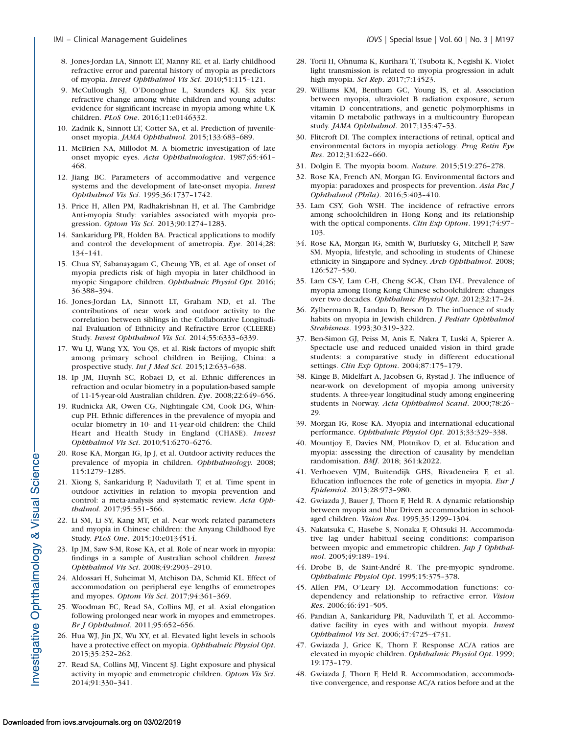- 8. Jones-Jordan LA, Sinnott LT, Manny RE, et al. Early childhood refractive error and parental history of myopia as predictors of myopia. Invest Ophthalmol Vis Sci. 2010;51:115–121.
- 9. McCullough SJ, O'Donoghue L, Saunders KJ. Six year refractive change among white children and young adults: evidence for significant increase in myopia among white UK children. PLoS One. 2016;11:e0146332.
- 10. Zadnik K, Sinnott LT, Cotter SA, et al. Prediction of juvenileonset myopia. JAMA Ophthalmol. 2015;133:683–689.
- 11. McBrien NA, Millodot M. A biometric investigation of late onset myopic eyes. Acta Ophthalmologica. 1987;65:461– 468.
- 12. Jiang BC. Parameters of accommodative and vergence systems and the development of late-onset myopia. Invest Ophthalmol Vis Sci. 1995;36:1737–1742.
- 13. Price H, Allen PM, Radhakrishnan H, et al. The Cambridge Anti-myopia Study: variables associated with myopia progression. Optom Vis Sci. 2013;90:1274–1283.
- 14. Sankaridurg PR, Holden BA. Practical applications to modify and control the development of ametropia. Eye. 2014;28: 134–141.
- 15. Chua SY, Sabanayagam C, Cheung YB, et al. Age of onset of myopia predicts risk of high myopia in later childhood in myopic Singapore children. Ophthalmic Physiol Opt. 2016; 36:388–394.
- 16. Jones-Jordan LA, Sinnott LT, Graham ND, et al. The contributions of near work and outdoor activity to the correlation between siblings in the Collaborative Longitudinal Evaluation of Ethnicity and Refractive Error (CLEERE) Study. Invest Ophthalmol Vis Sci. 2014;55:6333–6339.
- 17. Wu LJ, Wang YX, You QS, et al. Risk factors of myopic shift among primary school children in Beijing, China: a prospective study. Int J Med Sci. 2015;12:633-638.
- 18. Ip JM, Huynh SC, Robaei D, et al. Ethnic differences in refraction and ocular biometry in a population-based sample of 11-15-year-old Australian children. Eye. 2008;22:649–656.
- 19. Rudnicka AR, Owen CG, Nightingale CM, Cook DG, Whincup PH. Ethnic differences in the prevalence of myopia and ocular biometry in 10- and 11-year-old children: the Child Heart and Health Study in England (CHASE). Invest Ophthalmol Vis Sci. 2010;51:6270–6276.
- 20. Rose KA, Morgan IG, Ip J, et al. Outdoor activity reduces the prevalence of myopia in children. Ophthalmology. 2008; 115:1279–1285.
- 21. Xiong S, Sankaridurg P, Naduvilath T, et al. Time spent in outdoor activities in relation to myopia prevention and control: a meta-analysis and systematic review. Acta Ophthalmol. 2017;95:551–566.
- 22. Li SM, Li SY, Kang MT, et al. Near work related parameters and myopia in Chinese children: the Anyang Childhood Eye Study. PLoS One. 2015;10:e0134514.
- 23. Ip JM, Saw S-M, Rose KA, et al. Role of near work in myopia: findings in a sample of Australian school children. Invest Ophthalmol Vis Sci. 2008;49:2903–2910.
- 24. Aldossari H, Suheimat M, Atchison DA, Schmid KL. Effect of accommodation on peripheral eye lengths of emmetropes and myopes. Optom Vis Sci. 2017;94:361–369.
- 25. Woodman EC, Read SA, Collins MJ, et al. Axial elongation following prolonged near work in myopes and emmetropes. Br J Ophthalmol. 2011;95:652–656.
- 26. Hua WJ, Jin JX, Wu XY, et al. Elevated light levels in schools have a protective effect on myopia. Ophthalmic Physiol Opt. 2015;35:252–262.
- 27. Read SA, Collins MJ, Vincent SJ. Light exposure and physical activity in myopic and emmetropic children. Optom Vis Sci. 2014;91:330–341.
- 28. Torii H, Ohnuma K, Kurihara T, Tsubota K, Negishi K. Violet light transmission is related to myopia progression in adult high myopia. Sci Rep. 2017;7:14523.
- 29. Williams KM, Bentham GC, Young IS, et al. Association between myopia, ultraviolet B radiation exposure, serum vitamin D concentrations, and genetic polymorphisms in vitamin D metabolic pathways in a multicountry European study. JAMA Ophthalmol. 2017;135:47–53.
- 30. Flitcroft DI. The complex interactions of retinal, optical and environmental factors in myopia aetiology. Prog Retin Eye Res. 2012;31:622–660.
- 31. Dolgin E. The myopia boom. Nature. 2015;519:276–278.
- 32. Rose KA, French AN, Morgan IG. Environmental factors and myopia: paradoxes and prospects for prevention. Asia Pac J Ophthalmol (Phila). 2016;5:403–410.
- 33. Lam CSY, Goh WSH. The incidence of refractive errors among schoolchildren in Hong Kong and its relationship with the optical components. Clin Exp Optom. 1991;74:97-103.
- 34. Rose KA, Morgan IG, Smith W, Burlutsky G, Mitchell P, Saw SM. Myopia, lifestyle, and schooling in students of Chinese ethnicity in Singapore and Sydney. Arch Ophthalmol. 2008; 126:527–530.
- 35. Lam CS-Y, Lam C-H, Cheng SC-K, Chan LY-L. Prevalence of myopia among Hong Kong Chinese schoolchildren: changes over two decades. Ophthalmic Physiol Opt. 2012;32:17–24.
- 36. Zylbermann R, Landau D, Berson D. The influence of study habits on myopia in Jewish children. J Pediatr Ophthalmol Strabismus. 1993;30:319–322.
- 37. Ben-Simon GJ, Peiss M, Anis E, Nakra T, Luski A, Spierer A. Spectacle use and reduced unaided vision in third grade students: a comparative study in different educational settings. Clin Exp Optom. 2004;87:175–179.
- 38. Kinge B, Midelfart A, Jacobsen G, Rystad J. The influence of near-work on development of myopia among university students. A three-year longitudinal study among engineering students in Norway. Acta Ophthalmol Scand. 2000;78:26– 29.
- 39. Morgan IG, Rose KA. Myopia and international educational performance. Ophthalmic Physiol Opt. 2013;33:329–338.
- 40. Mountjoy E, Davies NM, Plotnikov D, et al. Education and myopia: assessing the direction of causality by mendelian randomisation. BMJ. 2018; 361:k2022.
- 41. Verhoeven VJM, Buitendijk GHS, Rivadeneira F, et al. Education influences the role of genetics in myopia. *Eur*  $J$ Epidemiol. 2013;28:973–980.
- 42. Gwiazda J, Bauer J, Thorn F, Held R. A dynamic relationship between myopia and blur Driven accommodation in schoolaged children. Vision Res. 1995;35:1299–1304.
- 43. Nakatsuka C, Hasebe S, Nonaka F, Ohtsuki H. Accommodative lag under habitual seeing conditions: comparison between myopic and emmetropic children. Jap J Ophthalmol. 2005;49:189–194.
- 44. Drobe B, de Saint-André R. The pre-myopic syndrome. Ophthalmic Physiol Opt. 1995;15:375–378.
- 45. Allen PM, O'Leary DJ. Accommodation functions: codependency and relationship to refractive error. Vision Res. 2006;46:491–505.
- 46. Pandian A, Sankaridurg PR, Naduvilath T, et al. Accommodative facility in eyes with and without myopia. Invest Ophthalmol Vis Sci. 2006;47:4725–4731.
- 47. Gwiazda J, Grice K, Thorn F. Response AC/A ratios are elevated in myopic children. Ophthalmic Physiol Opt. 1999; 19:173–179.
- 48. Gwiazda J, Thorn F, Held R. Accommodation, accommodative convergence, and response AC/A ratios before and at the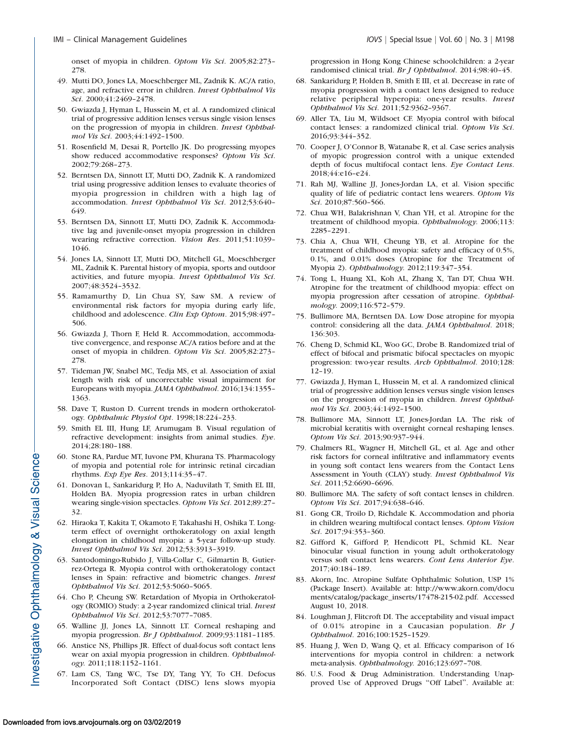onset of myopia in children. Optom Vis Sci. 2005;82:273– 278.

- 49. Mutti DO, Jones LA, Moeschberger ML, Zadnik K. AC/A ratio, age, and refractive error in children. Invest Ophthalmol Vis Sci. 2000;41:2469–2478.
- 50. Gwiazda J, Hyman L, Hussein M, et al. A randomized clinical trial of progressive addition lenses versus single vision lenses on the progression of myopia in children. Invest Ophthalmol Vis Sci. 2003;44:1492–1500.
- 51. Rosenfield M, Desai R, Portello JK. Do progressing myopes show reduced accommodative responses? Optom Vis Sci. 2002;79:268–273.
- 52. Berntsen DA, Sinnott LT, Mutti DO, Zadnik K. A randomized trial using progressive addition lenses to evaluate theories of myopia progression in children with a high lag of accommodation. Invest Ophthalmol Vis Sci. 2012;53:640– 649.
- 53. Berntsen DA, Sinnott LT, Mutti DO, Zadnik K. Accommodative lag and juvenile-onset myopia progression in children wearing refractive correction. Vision Res. 2011;51:1039– 1046.
- 54. Jones LA, Sinnott LT, Mutti DO, Mitchell GL, Moeschberger ML, Zadnik K. Parental history of myopia, sports and outdoor activities, and future myopia. Invest Ophthalmol Vis Sci. 2007;48:3524–3532.
- 55. Ramamurthy D, Lin Chua SY, Saw SM. A review of environmental risk factors for myopia during early life, childhood and adolescence. Clin Exp Optom. 2015;98:497– 506.
- 56. Gwiazda J, Thorn F, Held R. Accommodation, accommodative convergence, and response AC/A ratios before and at the onset of myopia in children. Optom Vis Sci. 2005;82:273– 278.
- 57. Tideman JW, Snabel MC, Tedja MS, et al. Association of axial length with risk of uncorrectable visual impairment for Europeans with myopia. JAMA Ophthalmol. 2016;134:1355– 1363.
- 58. Dave T, Ruston D. Current trends in modern orthokeratology. Ophthalmic Physiol Opt. 1998;18:224–233.
- 59. Smith EL III, Hung LF, Arumugam B. Visual regulation of refractive development: insights from animal studies. Eye. 2014;28:180–188.
- 60. Stone RA, Pardue MT, Iuvone PM, Khurana TS. Pharmacology of myopia and potential role for intrinsic retinal circadian rhythms. Exp Eye Res. 2013;114:35–47.
- 61. Donovan L, Sankaridurg P, Ho A, Naduvilath T, Smith EL III, Holden BA. Myopia progression rates in urban children wearing single-vision spectacles. Optom Vis Sci. 2012;89:27– 32.
- 62. Hiraoka T, Kakita T, Okamoto F, Takahashi H, Oshika T. Longterm effect of overnight orthokeratology on axial length elongation in childhood myopia: a 5-year follow-up study. Invest Ophthalmol Vis Sci. 2012;53:3913–3919.
- 63. Santodomingo-Rubido J, Villa-Collar C, Gilmartin B, Gutierrez-Ortega R. Myopia control with orthokeratology contact lenses in Spain: refractive and biometric changes. Invest Ophthalmol Vis Sci. 2012;53:5060–5065.
- 64. Cho P, Cheung SW. Retardation of Myopia in Orthokeratology (ROMIO) Study: a 2-year randomized clinical trial. Invest Ophthalmol Vis Sci. 2012;53:7077–7085.
- 65. Walline JJ, Jones LA, Sinnott LT. Corneal reshaping and myopia progression. Br J Ophthalmol. 2009;93:1181–1185.
- 66. Anstice NS, Phillips JR. Effect of dual-focus soft contact lens wear on axial myopia progression in children. Ophthalmology. 2011;118:1152–1161.
- 67. Lam CS, Tang WC, Tse DY, Tang YY, To CH. Defocus Incorporated Soft Contact (DISC) lens slows myopia

progression in Hong Kong Chinese schoolchildren: a 2-year randomised clinical trial. Br J Ophthalmol. 2014;98:40–45.

- 68. Sankaridurg P, Holden B, Smith E III, et al. Decrease in rate of myopia progression with a contact lens designed to reduce relative peripheral hyperopia: one-year results. Invest Ophthalmol Vis Sci. 2011;52:9362–9367.
- 69. Aller TA, Liu M, Wildsoet CF. Myopia control with bifocal contact lenses: a randomized clinical trial. Optom Vis Sci. 2016;93:344–352.
- 70. Cooper J, O'Connor B, Watanabe R, et al. Case series analysis of myopic progression control with a unique extended depth of focus multifocal contact lens. Eye Contact Lens. 2018;44:e16–e24.
- 71. Rah MJ, Walline JJ, Jones-Jordan LA, et al. Vision specific quality of life of pediatric contact lens wearers. Optom Vis Sci. 2010;87:560–566.
- 72. Chua WH, Balakrishnan V, Chan YH, et al. Atropine for the treatment of childhood myopia. Ophthalmology. 2006;113: 2285–2291.
- 73. Chia A, Chua WH, Cheung YB, et al. Atropine for the treatment of childhood myopia: safety and efficacy of 0.5%, 0.1%, and 0.01% doses (Atropine for the Treatment of Myopia 2). Ophthalmology. 2012;119:347–354.
- 74. Tong L, Huang XL, Koh AL, Zhang X, Tan DT, Chua WH. Atropine for the treatment of childhood myopia: effect on myopia progression after cessation of atropine. Ophthalmology. 2009;116:572–579.
- 75. Bullimore MA, Berntsen DA. Low Dose atropine for myopia control: considering all the data. JAMA Ophthalmol. 2018; 136:303.
- 76. Cheng D, Schmid KL, Woo GC, Drobe B. Randomized trial of effect of bifocal and prismatic bifocal spectacles on myopic progression: two-year results. Arch Ophthalmol. 2010;128: 12–19.
- 77. Gwiazda J, Hyman L, Hussein M, et al. A randomized clinical trial of progressive addition lenses versus single vision lenses on the progression of myopia in children. Invest Ophthalmol Vis Sci. 2003;44:1492–1500.
- 78. Bullimore MA, Sinnott LT, Jones-Jordan LA. The risk of microbial keratitis with overnight corneal reshaping lenses. Optom Vis Sci. 2013;90:937–944.
- 79. Chalmers RL, Wagner H, Mitchell GL, et al. Age and other risk factors for corneal infiltrative and inflammatory events in young soft contact lens wearers from the Contact Lens Assessment in Youth (CLAY) study. Invest Ophthalmol Vis Sci. 2011;52:6690–6696.
- 80. Bullimore MA. The safety of soft contact lenses in children. Optom Vis Sci. 2017;94:638–646.
- 81. Gong CR, Troilo D, Richdale K. Accommodation and phoria in children wearing multifocal contact lenses. Optom Vision Sci. 2017;94:353–360.
- 82. Gifford K, Gifford P, Hendicott PL, Schmid KL. Near binocular visual function in young adult orthokeratology versus soft contact lens wearers. Cont Lens Anterior Eye. 2017;40:184–189.
- 83. Akorn, Inc. Atropine Sulfate Ophthalmic Solution, USP 1% (Package Insert). Available at: http://www.akorn.com/docu ments/catalog/package\_inserts/17478-215-02.pdf. Accessed August 10, 2018.
- 84. Loughman J, Flitcroft DI. The acceptability and visual impact of 0.01% atropine in a Caucasian population. Br J Ophthalmol. 2016;100:1525–1529.
- 85. Huang J, Wen D, Wang Q, et al. Efficacy comparison of 16 interventions for myopia control in children: a network meta-analysis. Ophthalmology. 2016;123:697–708.
- 86. U.S. Food & Drug Administration. Understanding Unapproved Use of Approved Drugs ''Off Label''. Available at: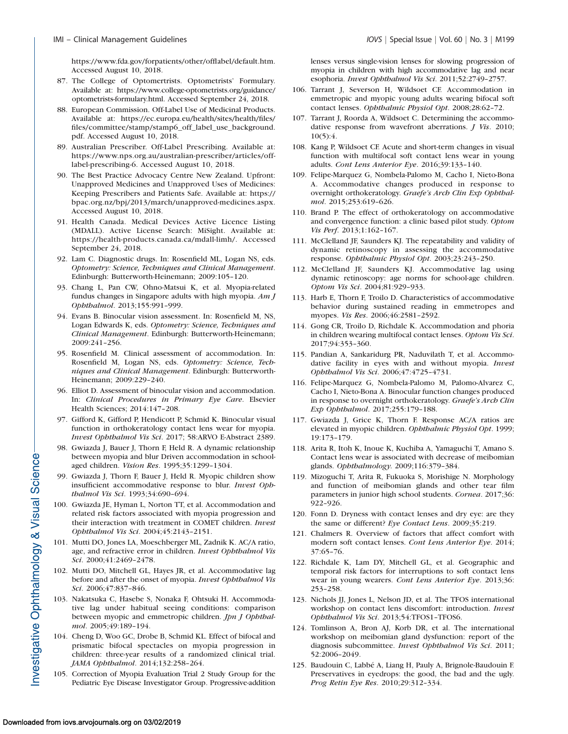https://www.fda.gov/forpatients/other/offlabel/default.htm. Accessed August 10, 2018.

- 87. The College of Optomertrists. Optometrists' Formulary. Available at: https://www.college-optometrists.org/guidance/ optometrists-formulary.html. Accessed September 24, 2018.
- 88. European Commission. Off-Label Use of Medicinal Products. Available at: https://ec.europa.eu/health/sites/health/files/ files/committee/stamp/stamp6\_off\_label\_use\_background. pdf. Accessed August 10, 2018.
- 89. Australian Prescriber. Off-Label Prescribing. Available at: https://www.nps.org.au/australian-prescriber/articles/offlabel-prescribing-6. Accessed August 10, 2018.
- 90. The Best Practice Advocacy Centre New Zealand. Upfront: Unapproved Medicines and Unapproved Uses of Medicines: Keeping Prescribers and Patients Safe. Available at: https:// bpac.org.nz/bpj/2013/march/unapproved-medicines.aspx. Accessed August 10, 2018.
- 91. Health Canada. Medical Devices Active Licence Listing (MDALL). Active License Search: MiSight. Available at: https://health-products.canada.ca/mdall-limh/. Accessed September 24, 2018.
- 92. Lam C. Diagnostic drugs. In: Rosenfield ML, Logan NS, eds. Optometry: Science, Techniques and Clinical Management. Edinburgh: Butterworth-Heinemann; 2009:105–120.
- 93. Chang L, Pan CW, Ohno-Matsui K, et al. Myopia-related fundus changes in Singapore adults with high myopia.  $AmJ$ Ophthalmol. 2013;155:991–999.
- 94. Evans B. Binocular vision assessment. In: Rosenfield M, NS, Logan Edwards K, eds. Optometry: Science, Techniques and Clinical Management. Edinburgh: Butterworth-Heinemann; 2009:241–256.
- 95. Rosenfield M. Clinical assessment of accommodation. In: Rosenfield M, Logan NS, eds. Optometry: Science, Techniques and Clinical Management. Edinburgh: Butterworth-Heinemann; 2009:229–240.
- 96. Elliot D. Assessment of binocular vision and accommodation. In: Clinical Procedures in Primary Eye Care. Elsevier Health Sciences; 2014:147–208.
- 97. Gifford K, Gifford P, Hendicott P, Schmid K. Binocular visual function in orthokeratology contact lens wear for myopia. Invest Ophthalmol Vis Sci. 2017; 58:ARVO E-Abstract 2389.
- 98. Gwiazda J, Bauer J, Thorn F, Held R. A dynamic relationship between myopia and blur Driven accommodation in schoolaged children. Vision Res. 1995;35:1299–1304.
- 99. Gwiazda J, Thorn F, Bauer J, Held R. Myopic children show insufficient accommodative response to blur. Invest Ophthalmol Vis Sci. 1993;34:690–694.
- 100. Gwiazda JE, Hyman L, Norton TT, et al. Accommodation and related risk factors associated with myopia progression and their interaction with treatment in COMET children. Invest Ophthalmol Vis Sci. 2004;45:2143–2151.
- 101. Mutti DO, Jones LA, Moeschberger ML, Zadnik K. AC/A ratio, age, and refractive error in children. Invest Ophthalmol Vis Sci. 2000;41:2469–2478.
- 102. Mutti DO, Mitchell GL, Hayes JR, et al. Accommodative lag before and after the onset of myopia. Invest Ophthalmol Vis Sci. 2006;47:837–846.
- 103. Nakatsuka C, Hasebe S, Nonaka F, Ohtsuki H. Accommodative lag under habitual seeing conditions: comparison between myopic and emmetropic children. Jpn J Ophthalmol. 2005;49:189–194.
- 104. Cheng D, Woo GC, Drobe B, Schmid KL. Effect of bifocal and prismatic bifocal spectacles on myopia progression in children: three-year results of a randomized clinical trial. JAMA Ophthalmol. 2014;132:258–264.
- 105. Correction of Myopia Evaluation Trial 2 Study Group for the Pediatric Eye Disease Investigator Group. Progressive-addition

lenses versus single-vision lenses for slowing progression of myopia in children with high accommodative lag and near esophoria. Invest Ophthalmol Vis Sci. 2011;52:2749–2757.

- 106. Tarrant J, Severson H, Wildsoet CF. Accommodation in emmetropic and myopic young adults wearing bifocal soft contact lenses. Ophthalmic Physiol Opt. 2008;28:62–72.
- 107. Tarrant J, Roorda A, Wildsoet C. Determining the accommodative response from wavefront aberrations. J Vis. 2010; 10(5):4.
- 108. Kang P, Wildsoet CF. Acute and short-term changes in visual function with multifocal soft contact lens wear in young adults. Cont Lens Anterior Eye. 2016;39:133–140.
- 109. Felipe-Marquez G, Nombela-Palomo M, Cacho I, Nieto-Bona A. Accommodative changes produced in response to overnight orthokeratology. Graefe's Arch Clin Exp Ophthalmol. 2015;253:619–626.
- 110. Brand P. The effect of orthokeratology on accommodative and convergence function: a clinic based pilot study. Optom Vis Perf. 2013;1:162–167.
- 111. McClelland JF, Saunders KJ. The repeatability and validity of dynamic retinoscopy in assessing the accommodative response. Ophthalmic Physiol Opt. 2003;23:243–250.
- 112. McClelland JF, Saunders KJ. Accommodative lag using dynamic retinoscopy: age norms for school-age children. Optom Vis Sci. 2004;81:929–933.
- 113. Harb E, Thorn F, Troilo D. Characteristics of accommodative behavior during sustained reading in emmetropes and myopes. Vis Res. 2006;46:2581–2592.
- 114. Gong CR, Troilo D, Richdale K. Accommodation and phoria in children wearing multifocal contact lenses. Optom Vis Sci. 2017;94:353–360.
- 115. Pandian A, Sankaridurg PR, Naduvilath T, et al. Accommodative facility in eyes with and without myopia. Invest Ophthalmol Vis Sci. 2006;47:4725–4731.
- 116. Felipe-Marquez G, Nombela-Palomo M, Palomo-Alvarez C, Cacho I, Nieto-Bona A. Binocular function changes produced in response to overnight orthokeratology. Graefe's Arch Clin Exp Ophthalmol. 2017;255:179–188.
- 117. Gwiazda J, Grice K, Thorn F. Response AC/A ratios are elevated in myopic children. Ophthalmic Physiol Opt. 1999; 19:173–179.
- 118. Arita R, Itoh K, Inoue K, Kuchiba A, Yamaguchi T, Amano S. Contact lens wear is associated with decrease of meibomian glands. Ophthalmology. 2009;116:379–384.
- 119. Mizoguchi T, Arita R, Fukuoka S, Morishige N. Morphology and function of meibomian glands and other tear film parameters in junior high school students. Cornea. 2017;36: 922–926.
- 120. Fonn D. Dryness with contact lenses and dry eye: are they the same or different? Eye Contact Lens. 2009;35:219.
- 121. Chalmers R. Overview of factors that affect comfort with modern soft contact lenses. Cont Lens Anterior Eye. 2014; 37:65–76.
- 122. Richdale K, Lam DY, Mitchell GL, et al. Geographic and temporal risk factors for interruptions to soft contact lens wear in young wearers. Cont Lens Anterior Eye. 2013;36: 253–258.
- 123. Nichols JJ, Jones L, Nelson JD, et al. The TFOS international workshop on contact lens discomfort: introduction. Invest Ophthalmol Vis Sci. 2013;54:TFOS1–TFOS6.
- 124. Tomlinson A, Bron AJ, Korb DR, et al. The international workshop on meibomian gland dysfunction: report of the diagnosis subcommittee. Invest Ophthalmol Vis Sci. 2011; 52:2006–2049.
- 125. Baudouin C, Labbé A, Liang H, Pauly A, Brignole-Baudouin F. Preservatives in eyedrops: the good, the bad and the ugly. Prog Retin Eye Res. 2010;29:312–334.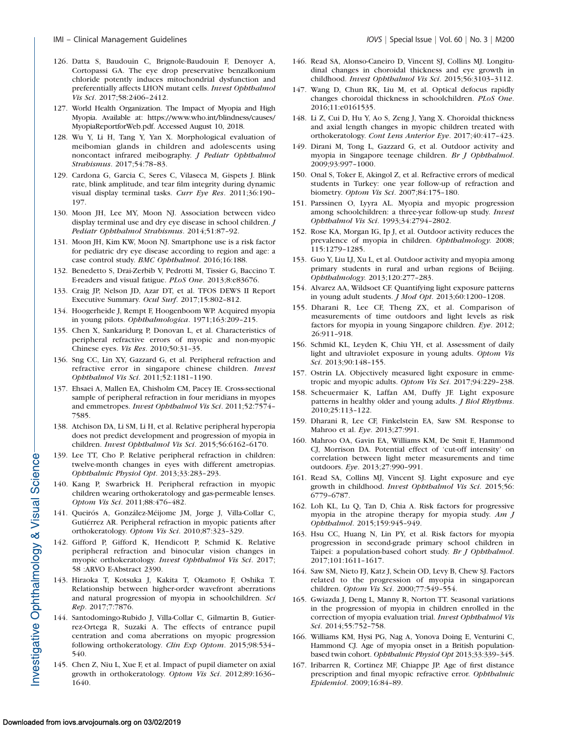- 126. Datta S, Baudouin C, Brignole-Baudouin F, Denoyer A, Cortopassi GA. The eye drop preservative benzalkonium chloride potently induces mitochondrial dysfunction and preferentially affects LHON mutant cells. Invest Ophthalmol Vis Sci. 2017;58:2406–2412.
- 127. World Health Organization. The Impact of Myopia and High Myopia. Available at: https://www.who.int/blindness/causes/ MyopiaReportforWeb.pdf. Accessed August 10, 2018.
- 128. Wu Y, Li H, Tang Y, Yan X. Morphological evaluation of meibomian glands in children and adolescents using noncontact infrared meibography. J Pediatr Ophthalmol Strabismus. 2017;54:78–83.
- 129. Cardona G, Garcia C, Seres C, Vilaseca M, Gispets J. Blink rate, blink amplitude, and tear film integrity during dynamic visual display terminal tasks. Curr Eye Res. 2011;36:190– 197.
- 130. Moon JH, Lee MY, Moon NJ. Association between video display terminal use and dry eye disease in school children. J Pediatr Ophthalmol Strabismus. 2014;51:87–92.
- 131. Moon JH, Kim KW, Moon NJ. Smartphone use is a risk factor for pediatric dry eye disease according to region and age: a case control study. BMC Ophthalmol. 2016;16:188.
- 132. Benedetto S, Drai-Zerbib V, Pedrotti M, Tissier G, Baccino T. E-readers and visual fatigue. PLoS One. 2013;8:e83676.
- 133. Craig JP, Nelson JD, Azar DT, et al. TFOS DEWS II Report Executive Summary. Ocul Surf. 2017;15:802–812.
- 134. Hoogerheide J, Rempt F, Hoogenboom WP. Acquired myopia in young pilots. Ophthalmologica. 1971;163:209–215.
- 135. Chen X, Sankaridurg P, Donovan L, et al. Characteristics of peripheral refractive errors of myopic and non-myopic Chinese eyes. Vis Res. 2010;50:31–35.
- 136. Sng CC, Lin XY, Gazzard G, et al. Peripheral refraction and refractive error in singapore chinese children. Invest Ophthalmol Vis Sci. 2011;52:1181–1190.
- 137. Ehsaei A, Mallen EA, Chisholm CM, Pacey IE. Cross-sectional sample of peripheral refraction in four meridians in myopes and emmetropes. Invest Ophthalmol Vis Sci. 2011;52:7574– 7585.
- 138. Atchison DA, Li SM, Li H, et al. Relative peripheral hyperopia does not predict development and progression of myopia in children. Invest Ophthalmol Vis Sci. 2015;56:6162–6170.
- 139. Lee TT, Cho P. Relative peripheral refraction in children: twelve-month changes in eyes with different ametropias. Ophthalmic Physiol Opt. 2013;33:283–293.
- 140. Kang P, Swarbrick H. Peripheral refraction in myopic children wearing orthokeratology and gas-permeable lenses. Optom Vis Sci. 2011;88:476–482.
- 141. Queirós A, González-Méijome JM, Jorge J, Villa-Collar C, Gutiérrez AR. Peripheral refraction in myopic patients after orthokeratology. Optom Vis Sci. 2010;87:323–329.
- 142. Gifford P, Gifford K, Hendicott P, Schmid K. Relative peripheral refraction and binocular vision changes in myopic orthokeratology. Invest Ophthalmol Vis Sci. 2017; 58 :ARVO E-Abstract 2390.
- 143. Hiraoka T, Kotsuka J, Kakita T, Okamoto F, Oshika T. Relationship between higher-order wavefront aberrations and natural progression of myopia in schoolchildren. Sci Rep. 2017;7:7876.
- 144. Santodomingo-Rubido J, Villa-Collar C, Gilmartin B, Gutierrez-Ortega R, Suzaki A. The effects of entrance pupil centration and coma aberrations on myopic progression following orthokeratology. Clin Exp Optom. 2015;98:534-540.
- 145. Chen Z, Niu L, Xue F, et al. Impact of pupil diameter on axial growth in orthokeratology. Optom Vis Sci. 2012;89:1636– 1640.
- 146. Read SA, Alonso-Caneiro D, Vincent SJ, Collins MJ. Longitudinal changes in choroidal thickness and eye growth in childhood. Invest Ophthalmol Vis Sci. 2015;56:3103–3112.
- 147. Wang D, Chun RK, Liu M, et al. Optical defocus rapidly changes choroidal thickness in schoolchildren. PLoS One. 2016;11:e0161535.
- 148. Li Z, Cui D, Hu Y, Ao S, Zeng J, Yang X. Choroidal thickness and axial length changes in myopic children treated with orthokeratology. Cont Lens Anterior Eye. 2017;40:417–423.
- 149. Dirani M, Tong L, Gazzard G, et al. Outdoor activity and myopia in Singapore teenage children. Br J Ophthalmol. 2009;93:997–1000.
- 150. Onal S, Toker E, Akingol Z, et al. Refractive errors of medical students in Turkey: one year follow-up of refraction and biometry. Optom Vis Sci. 2007;84:175–180.
- 151. Parssinen O, Lyyra AL. Myopia and myopic progression among schoolchildren: a three-year follow-up study. Invest Ophthalmol Vis Sci. 1993;34:2794–2802.
- 152. Rose KA, Morgan IG, Ip J, et al. Outdoor activity reduces the prevalence of myopia in children. Ophthalmology. 2008; 115:1279–1285.
- 153. Guo Y, Liu LJ, Xu L, et al. Outdoor activity and myopia among primary students in rural and urban regions of Beijing. Ophthalmology. 2013;120:277–283.
- 154. Alvarez AA, Wildsoet CF. Quantifying light exposure patterns in young adult students. J Mod Opt. 2013;60:1200–1208.
- 155. Dharani R, Lee CF, Theng ZX, et al. Comparison of measurements of time outdoors and light levels as risk factors for myopia in young Singapore children. Eye. 2012; 26:911–918.
- 156. Schmid KL, Leyden K, Chiu YH, et al. Assessment of daily light and ultraviolet exposure in young adults. Optom Vis Sci. 2013;90:148–155.
- 157. Ostrin LA. Objectively measured light exposure in emmetropic and myopic adults. Optom Vis Sci. 2017;94:229–238.
- 158. Scheuermaier K, Laffan AM, Duffy JF. Light exposure patterns in healthy older and young adults. *J Biol Rhythms*. 2010;25:113–122.
- 159. Dharani R, Lee CF, Finkelstein EA, Saw SM. Response to Mahroo et al. Eye. 2013;27:991.
- 160. Mahroo OA, Gavin EA, Williams KM, De Smit E, Hammond CJ, Morrison DA. Potential effect of 'cut-off intensity' on correlation between light meter measurements and time outdoors. Eye. 2013;27:990–991.
- 161. Read SA, Collins MJ, Vincent SJ. Light exposure and eye growth in childhood. Invest Ophthalmol Vis Sci. 2015;56: 6779–6787.
- 162. Loh KL, Lu Q, Tan D, Chia A. Risk factors for progressive myopia in the atropine therapy for myopia study. Am J Ophthalmol. 2015;159:945–949.
- 163. Hsu CC, Huang N, Lin PY, et al. Risk factors for myopia progression in second-grade primary school children in Taipei: a population-based cohort study. Br J Ophthalmol. 2017;101:1611–1617.
- 164. Saw SM, Nieto FJ, Katz J, Schein OD, Levy B, Chew SJ. Factors related to the progression of myopia in singaporean children. Optom Vis Sci. 2000;77:549–554.
- 165. Gwiazda J, Deng L, Manny R, Norton TT. Seasonal variations in the progression of myopia in children enrolled in the correction of myopia evaluation trial. Invest Ophthalmol Vis Sci. 2014;55:752–758.
- 166. Williams KM, Hysi PG, Nag A, Yonova Doing E, Venturini C, Hammond CJ. Age of myopia onset in a British populationbased twin cohort. Ophthalmic Physiol Opt 2013;33:339–345.
- 167. Iribarren R, Cortinez MF, Chiappe JP. Age of first distance prescription and final myopic refractive error. Ophthalmic Epidemiol. 2009;16:84–89.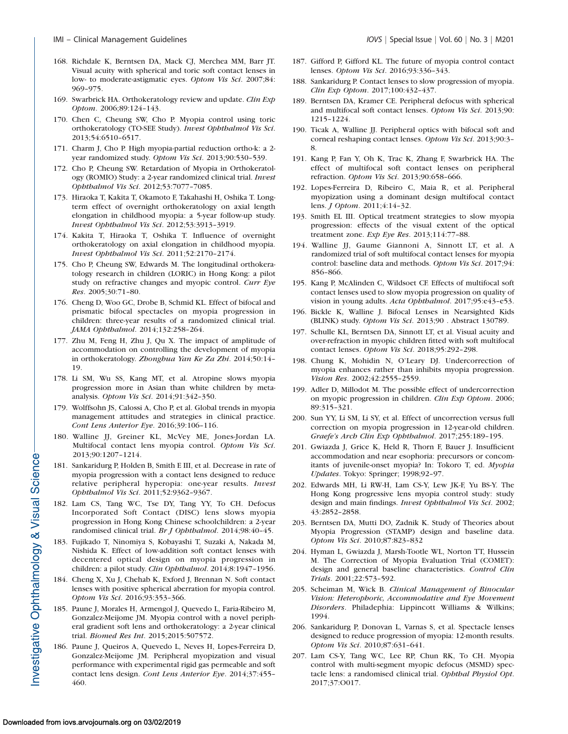- 168. Richdale K, Berntsen DA, Mack CJ, Merchea MM, Barr JT. Visual acuity with spherical and toric soft contact lenses in low- to moderate-astigmatic eyes. Optom Vis Sci. 2007;84: 969–975.
- 169. Swarbrick HA. Orthokeratology review and update. Clin Exp Optom. 2006;89:124–143.
- 170. Chen C, Cheung SW, Cho P. Myopia control using toric orthokeratology (TO-SEE Study). Invest Ophthalmol Vis Sci. 2013;54:6510–6517.
- 171. Charm J, Cho P. High myopia-partial reduction ortho-k: a 2 year randomized study. Optom Vis Sci. 2013;90:530–539.
- 172. Cho P, Cheung SW. Retardation of Myopia in Orthokeratology (ROMIO) Study: a 2-year randomized clinical trial. Invest Ophthalmol Vis Sci. 2012;53:7077–7085.
- 173. Hiraoka T, Kakita T, Okamoto F, Takahashi H, Oshika T. Longterm effect of overnight orthokeratology on axial length elongation in childhood myopia: a 5-year follow-up study. Invest Ophthalmol Vis Sci. 2012;53:3913–3919.
- 174. Kakita T, Hiraoka T, Oshika T. Influence of overnight orthokeratology on axial elongation in childhood myopia. Invest Ophthalmol Vis Sci. 2011;52:2170–2174.
- 175. Cho P, Cheung SW, Edwards M. The longitudinal orthokeratology research in children (LORIC) in Hong Kong: a pilot study on refractive changes and myopic control. Curr Eye Res. 2005;30:71–80.
- 176. Cheng D, Woo GC, Drobe B, Schmid KL. Effect of bifocal and prismatic bifocal spectacles on myopia progression in children: three-year results of a randomized clinical trial. JAMA Ophthalmol. 2014;132:258–264.
- 177. Zhu M, Feng H, Zhu J, Qu X. The impact of amplitude of accommodation on controlling the development of myopia in orthokeratology. Zhonghua Yan Ke Za Zhi. 2014;50:14– 19.
- 178. Li SM, Wu SS, Kang MT, et al. Atropine slows myopia progression more in Asian than white children by metaanalysis. Optom Vis Sci. 2014;91:342–350.
- 179. Wolffsohn JS, Calossi A, Cho P, et al. Global trends in myopia management attitudes and strategies in clinical practice. Cont Lens Anterior Eye. 2016;39:106–116.
- 180. Walline JJ, Greiner KL, McVey ME, Jones-Jordan LA. Multifocal contact lens myopia control. Optom Vis Sci. 2013;90:1207–1214.
- 181. Sankaridurg P, Holden B, Smith E III, et al. Decrease in rate of myopia progression with a contact lens designed to reduce relative peripheral hyperopia: one-year results. Invest Ophthalmol Vis Sci. 2011;52:9362–9367.
- 182. Lam CS, Tang WC, Tse DY, Tang YY, To CH. Defocus Incorporated Soft Contact (DISC) lens slows myopia progression in Hong Kong Chinese schoolchildren: a 2-year randomised clinical trial. Br J Ophthalmol. 2014;98:40–45.
- 183. Fujikado T, Ninomiya S, Kobayashi T, Suzaki A, Nakada M, Nishida K. Effect of low-addition soft contact lenses with decentered optical design on myopia progression in children: a pilot study. Clin Ophthalmol. 2014;8:1947–1956.
- 184. Cheng X, Xu J, Chehab K, Exford J, Brennan N. Soft contact lenses with positive spherical aberration for myopia control. Optom Vis Sci. 2016;93:353–366.
- 185. Paune J, Morales H, Armengol J, Quevedo L, Faria-Ribeiro M, Gonzalez-Meijome JM. Myopia control with a novel peripheral gradient soft lens and orthokeratology: a 2-year clinical trial. Biomed Res Int. 2015;2015:507572.
- 186. Paune J, Queiros A, Quevedo L, Neves H, Lopes-Ferreira D, Gonzalez-Meijome JM. Peripheral myopization and visual performance with experimental rigid gas permeable and soft contact lens design. Cont Lens Anterior Eye. 2014;37:455– 460.
- 187. Gifford P, Gifford KL. The future of myopia control contact lenses. Optom Vis Sci. 2016;93:336–343.
- 188. Sankaridurg P. Contact lenses to slow progression of myopia. Clin Exp Optom. 2017;100:432–437.
- 189. Berntsen DA, Kramer CE. Peripheral defocus with spherical and multifocal soft contact lenses. Optom Vis Sci. 2013;90: 1215–1224.
- 190. Ticak A, Walline JJ. Peripheral optics with bifocal soft and corneal reshaping contact lenses. Optom Vis Sci. 2013;90:3– 8.
- 191. Kang P, Fan Y, Oh K, Trac K, Zhang F, Swarbrick HA. The effect of multifocal soft contact lenses on peripheral refraction. Optom Vis Sci. 2013;90:658–666.
- 192. Lopes-Ferreira D, Ribeiro C, Maia R, et al. Peripheral myopization using a dominant design multifocal contact lens. J Optom. 2011;4:14–32.
- 193. Smith EL III. Optical treatment strategies to slow myopia progression: effects of the visual extent of the optical treatment zone. Exp Eye Res. 2013;114:77–88.
- 194. Walline JJ, Gaume Giannoni A, Sinnott LT, et al. A randomized trial of soft multifocal contact lenses for myopia control: baseline data and methods. Optom Vis Sci. 2017;94: 856–866.
- 195. Kang P, McAlinden C, Wildsoet CF. Effects of multifocal soft contact lenses used to slow myopia progression on quality of vision in young adults. Acta Ophthalmol. 2017;95:e43–e53.
- 196. Bickle K, Walline J. Bifocal Lenses in Nearsighted Kids (BLINK) study. Optom Vis Sci. 2013;90 . Abstract 130789.
- 197. Schulle KL, Berntsen DA, Sinnott LT, et al. Visual acuity and over-refraction in myopic children fitted with soft multifocal contact lenses. Optom Vis Sci. 2018;95:292–298.
- 198. Chung K, Mohidin N, O'Leary DJ. Undercorrection of myopia enhances rather than inhibits myopia progression. Vision Res. 2002;42:2555–2559.
- 199. Adler D, Millodot M. The possible effect of undercorrection on myopic progression in children. Clin Exp Optom. 2006; 89:315–321.
- 200. Sun YY, Li SM, Li SY, et al. Effect of uncorrection versus full correction on myopia progression in 12-year-old children. Graefe's Arch Clin Exp Ophthalmol. 2017;255:189–195.
- 201. Gwiazda J, Grice K, Held R, Thorn F, Bauer J. Insufficient accommodation and near esophoria: precursors or concomitants of juvenile-onset myopia? In: Tokoro T, ed. Myopia Updates. Tokyo: Springer; 1998;92–97.
- 202. Edwards MH, Li RW-H, Lam CS-Y, Lew JK-F, Yu BS-Y. The Hong Kong progressive lens myopia control study: study design and main findings. Invest Ophthalmol Vis Sci. 2002; 43:2852–2858.
- 203. Berntsen DA, Mutti DO, Zadnik K. Study of Theories about Myopia Progression (STAMP) design and baseline data. Optom Vis Sci. 2010;87:823–832
- 204. Hyman L, Gwiazda J, Marsh-Tootle WL, Norton TT, Hussein M. The Correction of Myopia Evaluation Trial (COMET): design and general baseline characteristics. Control Clin Trials. 2001;22:573–592.
- 205. Scheiman M, Wick B. Clinical Management of Binocular Vision: Heterophoric, Accommodative and Eye Movement Disorders. Philadephia: Lippincott Williams & Wilkins; 1994.
- 206. Sankaridurg P, Donovan L, Varnas S, et al. Spectacle lenses designed to reduce progression of myopia: 12-month results. Optom Vis Sci. 2010;87:631–641.
- 207. Lam CS-Y, Tang WC, Lee RP, Chun RK, To CH. Myopia control with multi-segment myopic defocus (MSMD) spectacle lens: a randomised clinical trial. Ophthal Physiol Opt. 2017;37:O017.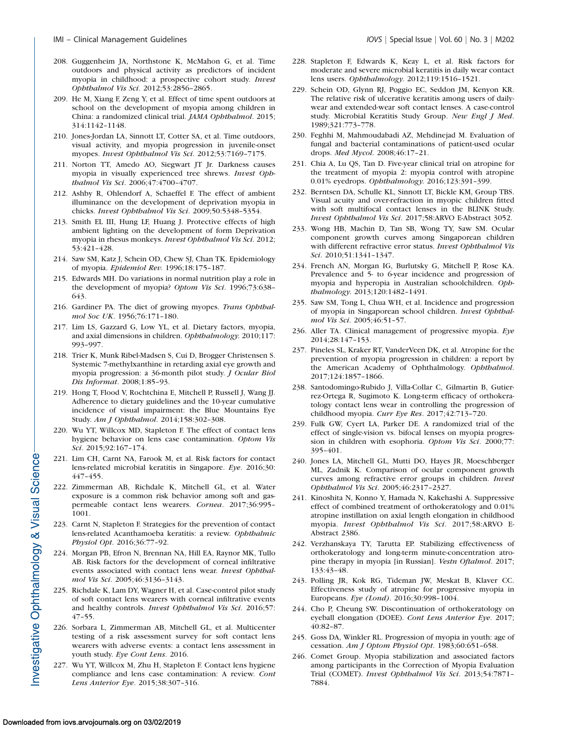- 208. Guggenheim JA, Northstone K, McMahon G, et al. Time outdoors and physical activity as predictors of incident myopia in childhood: a prospective cohort study. Invest Ophthalmol Vis Sci. 2012;53:2856–2865.
- 209. He M, Xiang F, Zeng Y, et al. Effect of time spent outdoors at school on the development of myopia among children in China: a randomized clinical trial. JAMA Ophthalmol. 2015; 314:1142–1148.
- 210. Jones-Jordan LA, Sinnott LT, Cotter SA, et al. Time outdoors, visual activity, and myopia progression in juvenile-onset myopes. Invest Ophthalmol Vis Sci. 2012;53:7169–7175.
- 211. Norton TT, Amedo AO, Siegwart JT Jr. Darkness causes myopia in visually experienced tree shrews. Invest Ophthalmol Vis Sci. 2006;47:4700–4707.
- 212. Ashby R, Ohlendorf A, Schaeffel F. The effect of ambient illuminance on the development of deprivation myopia in chicks. Invest Ophthalmol Vis Sci. 2009;50:5348–5354.
- 213. Smith EL III, Hung LF, Huang J. Protective effects of high ambient lighting on the development of form Deprivation myopia in rhesus monkeys. Invest Ophthalmol Vis Sci. 2012; 53:421–428.
- 214. Saw SM, Katz J, Schein OD, Chew SJ, Chan TK. Epidemiology of myopia. Epidemiol Rev. 1996;18:175–187.
- 215. Edwards MH. Do variations in normal nutrition play a role in the development of myopia? Optom Vis Sci. 1996;73:638-643.
- 216. Gardiner PA. The diet of growing myopes. Trans Ophthalmol Soc UK. 1956;76:171–180.
- 217. Lim LS, Gazzard G, Low YL, et al. Dietary factors, myopia, and axial dimensions in children. Ophthalmology. 2010;117: 993–997.
- 218. Trier K, Munk Ribel-Madsen S, Cui D, Brogger Christensen S. Systemic 7-methylxanthine in retarding axial eye growth and myopia progression: a 36-month pilot study. J Ocular Biol Dis Informat. 2008;1:85–93.
- 219. Hong T, Flood V, Rochtchina E, Mitchell P, Russell J, Wang JJ. Adherence to dietary guidelines and the 10-year cumulative incidence of visual impairment: the Blue Mountains Eye Study. Am J Ophthalmol. 2014;158:302–308.
- 220. Wu YT, Willcox MD, Stapleton F. The effect of contact lens hygiene behavior on lens case contamination. Optom Vis Sci. 2015;92:167–174.
- 221. Lim CH, Carnt NA, Farook M, et al. Risk factors for contact lens-related microbial keratitis in Singapore. Eye. 2016;30: 447–455.
- 222. Zimmerman AB, Richdale K, Mitchell GL, et al. Water exposure is a common risk behavior among soft and gaspermeable contact lens wearers. Cornea. 2017;36:995– 1001.
- 223. Carnt N, Stapleton F. Strategies for the prevention of contact lens-related Acanthamoeba keratitis: a review. Ophthalmic Physiol Opt. 2016;36:77–92.
- 224. Morgan PB, Efron N, Brennan NA, Hill EA, Raynor MK, Tullo AB. Risk factors for the development of corneal infiltrative events associated with contact lens wear. Invest Ophthalmol Vis Sci. 2005;46:3136–3143.
- 225. Richdale K, Lam DY, Wagner H, et al. Case-control pilot study of soft contact lens wearers with corneal infiltrative events and healthy controls. Invest Ophthalmol Vis Sci. 2016;57: 47–55.
- 226. Sorbara L, Zimmerman AB, Mitchell GL, et al. Multicenter testing of a risk assessment survey for soft contact lens wearers with adverse events: a contact lens assessment in youth study. Eye Cont Lens. 2016.
- 227. Wu YT, Willcox M, Zhu H, Stapleton F. Contact lens hygiene compliance and lens case contamination: A review. Cont Lens Anterior Eye. 2015;38:307–316.
- 228. Stapleton F, Edwards K, Keay L, et al. Risk factors for moderate and severe microbial keratitis in daily wear contact lens users. Ophthalmology. 2012;119:1516–1521.
- 229. Schein OD, Glynn RJ, Poggio EC, Seddon JM, Kenyon KR. The relative risk of ulcerative keratitis among users of dailywear and extended-wear soft contact lenses. A case-control study. Microbial Keratitis Study Group. New Engl J Med. 1989;321:773–778.
- 230. Feghhi M, Mahmoudabadi AZ, Mehdinejad M. Evaluation of fungal and bacterial contaminations of patient-used ocular drops. Med Mycol. 2008;46:17–21.
- 231. Chia A, Lu QS, Tan D. Five-year clinical trial on atropine for the treatment of myopia 2: myopia control with atropine 0.01% eyedrops. Ophthalmology. 2016;123:391–399.
- 232. Berntsen DA, Schulle KL, Sinnott LT, Bickle KM, Group TBS. Visual acuity and over-refraction in myopic children fitted with soft multifocal contact lenses in the BLINK Study. Invest Ophthalmol Vis Sci. 2017;58:ARVO E-Abstract 3052.
- 233. Wong HB, Machin D, Tan SB, Wong TY, Saw SM. Ocular component growth curves among Singaporean children with different refractive error status. Invest Ophthalmol Vis Sci. 2010;51:1341–1347.
- 234. French AN, Morgan IG, Burlutsky G, Mitchell P, Rose KA. Prevalence and 5- to 6-year incidence and progression of myopia and hyperopia in Australian schoolchildren. Ophthalmology. 2013;120:1482–1491.
- 235. Saw SM, Tong L, Chua WH, et al. Incidence and progression of myopia in Singaporean school children. Invest Ophthalmol Vis Sci. 2005;46:51–57.
- 236. Aller TA. Clinical management of progressive myopia. Eye 2014;28:147–153.
- 237. Pineles SL, Kraker RT, VanderVeen DK, et al. Atropine for the prevention of myopia progression in children: a report by the American Academy of Ophthalmology. Ophthalmol. 2017;124:1857–1866.
- 238. Santodomingo-Rubido J, Villa-Collar C, Gilmartin B, Gutierrez-Ortega R, Sugimoto K. Long-term efficacy of orthokeratology contact lens wear in controlling the progression of childhood myopia. Curr Eye Res. 2017;42:713–720.
- 239. Fulk GW, Cyert LA, Parker DE. A randomized trial of the effect of single-vision vs. bifocal lenses on myopia progression in children with esophoria. Optom Vis Sci. 2000;77: 395–401.
- 240. Jones LA, Mitchell GL, Mutti DO, Hayes JR, Moeschberger ML, Zadnik K. Comparison of ocular component growth curves among refractive error groups in children. Invest Ophthalmol Vis Sci. 2005;46:2317–2327.
- 241. Kinoshita N, Konno Y, Hamada N, Kakehashi A. Suppressive effect of combined treatment of orthokeratology and 0.01% atropine instillation on axial length elongation in childhood myopia. Invest Ophthalmol Vis Sci. 2017;58:ARVO E-Abstract 2386.
- 242. Verzhanskaya TY, Tarutta EP. Stabilizing effectiveness of orthokeratology and long-term minute-concentration atropine therapy in myopia [in Russian]. Vestn Oftalmol. 2017; 133:43–48.
- 243. Polling JR, Kok RG, Tideman JW, Meskat B, Klaver CC. Effectiveness study of atropine for progressive myopia in Europeans. Eye (Lond). 2016;30:998–1004.
- 244. Cho P, Cheung SW. Discontinuation of orthokeratology on eyeball elongation (DOEE). Cont Lens Anterior Eye. 2017; 40:82–87.
- 245. Goss DA, Winkler RL. Progression of myopia in youth: age of cessation. Am J Optom Physiol Opt. 1983;60:651–658.
- 246. Comet Group. Myopia stabilization and associated factors among participants in the Correction of Myopia Evaluation Trial (COMET). Invest Ophthalmol Vis Sci. 2013;54:7871– 7884.